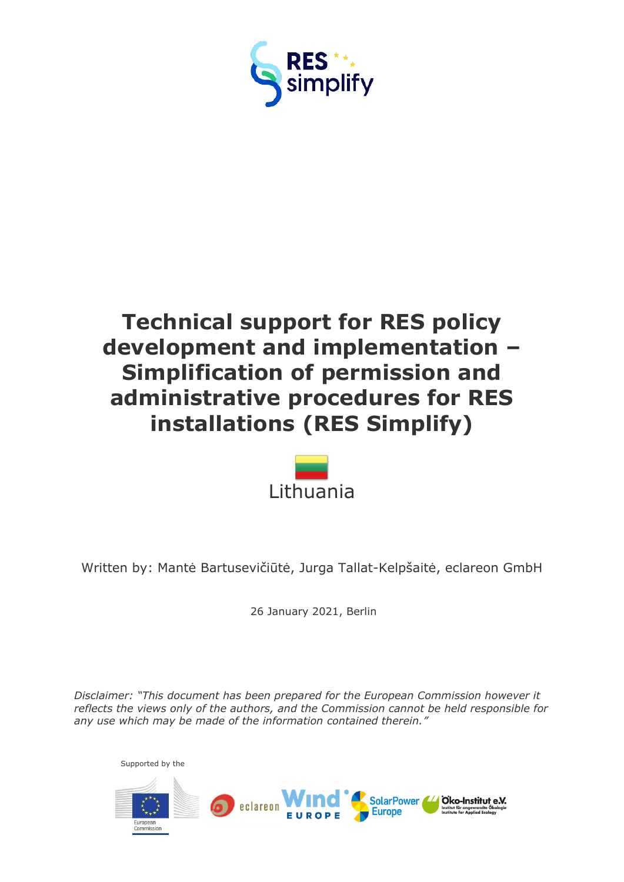



Written by: Mantė Bartusevičiūtė, Jurga Tallat-Kelpšaitė, eclareon GmbH

26 January 2021, Berlin

*Disclaimer: "This document has been prepared for the European Commission however it reflects the views only of the authors, and the Commission cannot be held responsible for any use which may be made of the information contained therein."*

Supported by the

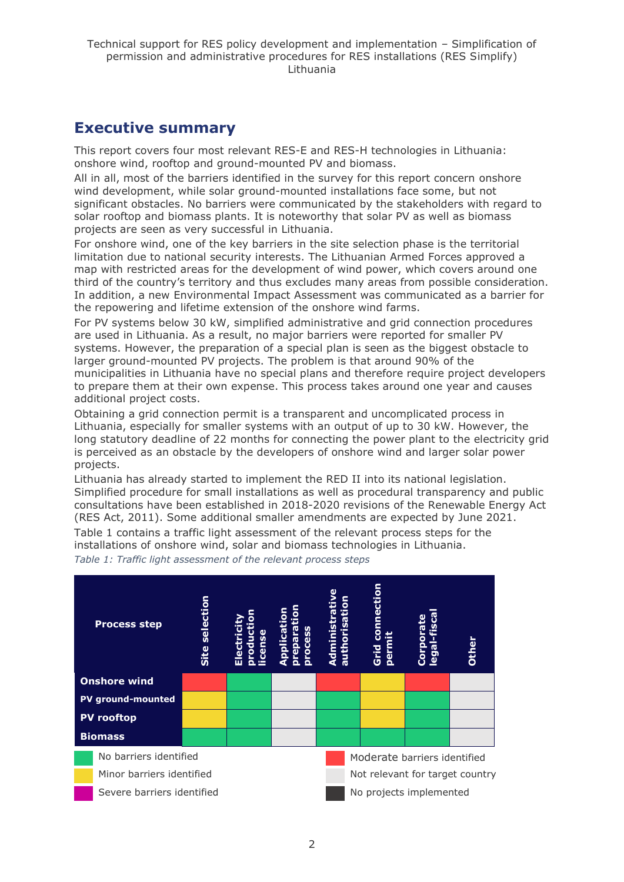## <span id="page-1-0"></span>**Executive summary**

This report covers four most relevant RES-E and RES-H technologies in Lithuania: onshore wind, rooftop and ground-mounted PV and biomass.

All in all, most of the barriers identified in the survey for this report concern onshore wind development, while solar ground-mounted installations face some, but not significant obstacles. No barriers were communicated by the stakeholders with regard to solar rooftop and biomass plants. It is noteworthy that solar PV as well as biomass projects are seen as very successful in Lithuania.

For onshore wind, one of the key barriers in the site selection phase is the territorial limitation due to national security interests. The Lithuanian Armed Forces approved a map with restricted areas for the development of wind power, which covers around one third of the country's territory and thus excludes many areas from possible consideration. In addition, a new Environmental Impact Assessment was communicated as a barrier for the repowering and lifetime extension of the onshore wind farms.

For PV systems below 30 kW, simplified administrative and grid connection procedures are used in Lithuania. As a result, no major barriers were reported for smaller PV systems. However, the preparation of a special plan is seen as the biggest obstacle to larger ground-mounted PV projects. The problem is that around 90% of the municipalities in Lithuania have no special plans and therefore require project developers to prepare them at their own expense. This process takes around one year and causes additional project costs.

Obtaining a grid connection permit is a transparent and uncomplicated process in Lithuania, especially for smaller systems with an output of up to 30 kW. However, the long statutory deadline of 22 months for connecting the power plant to the electricity grid is perceived as an obstacle by the developers of onshore wind and larger solar power projects.

Lithuania has already started to implement the RED II into its national legislation. Simplified procedure for small installations as well as procedural transparency and public consultations have been established in 2018-2020 revisions of the Renewable Energy Act (RES Act, 2011). Some additional smaller amendments are expected by June 2021.

Table 1 contains a traffic light assessment of the relevant process steps for the installations of onshore wind, solar and biomass technologies in Lithuania.

*Table 1: Traffic light assessment of the relevant process steps*

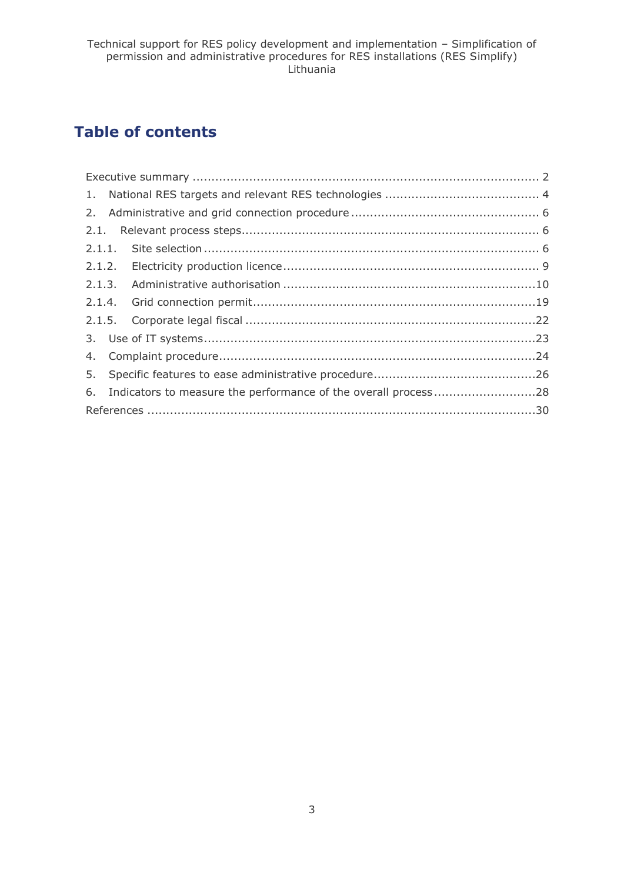## **Table of contents**

| 6. Indicators to measure the performance of the overall process28 |  |
|-------------------------------------------------------------------|--|
|                                                                   |  |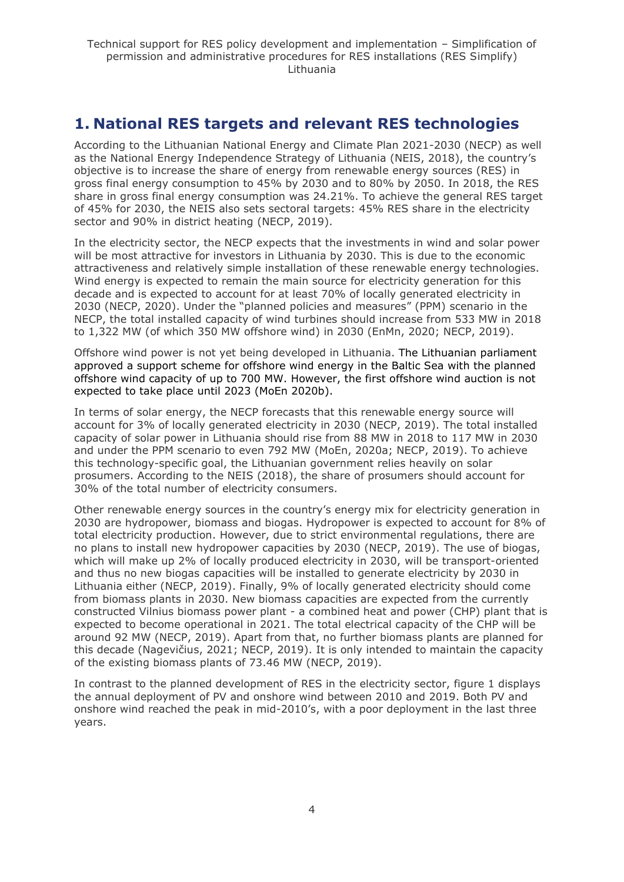## <span id="page-3-0"></span>**1. National RES targets and relevant RES technologies**

According to the Lithuanian National Energy and Climate Plan 2021-2030 (NECP) as well as the National Energy Independence Strategy of Lithuania (NEIS, 2018), the country's objective is to increase the share of energy from renewable energy sources (RES) in gross final energy consumption to 45% by 2030 and to 80% by 2050. In 2018, the RES share in gross final energy consumption was 24.21%. To achieve the general RES target of 45% for 2030, the NEIS also sets sectoral targets: 45% RES share in the electricity sector and 90% in district heating (NECP, 2019).

In the electricity sector, the NECP expects that the investments in wind and solar power will be most attractive for investors in Lithuania by 2030. This is due to the economic attractiveness and relatively simple installation of these renewable energy technologies. Wind energy is expected to remain the main source for electricity generation for this decade and is expected to account for at least 70% of locally generated electricity in 2030 (NECP, 2020). Under the "planned policies and measures" (PPM) scenario in the NECP, the total installed capacity of wind turbines should increase from 533 MW in 2018 to 1,322 MW (of which 350 MW offshore wind) in 2030 (EnMn, 2020; NECP, 2019).

Offshore wind power is not yet being developed in Lithuania. The Lithuanian parliament approved a support scheme for offshore wind energy in the Baltic Sea with the planned offshore wind capacity of up to 700 MW. However, the first offshore wind auction is not expected to take place until 2023 (MoEn 2020b).

In terms of solar energy, the NECP forecasts that this renewable energy source will account for 3% of locally generated electricity in 2030 (NECP, 2019). The total installed capacity of solar power in Lithuania should rise from 88 MW in 2018 to 117 MW in 2030 and under the PPM scenario to even 792 MW (MoEn, 2020a; NECP, 2019). To achieve this technology-specific goal, the Lithuanian government relies heavily on solar prosumers. According to the NEIS (2018), the share of prosumers should account for 30% of the total number of electricity consumers.

Other renewable energy sources in the country's energy mix for electricity generation in 2030 are hydropower, biomass and biogas. Hydropower is expected to account for 8% of total electricity production. However, due to strict environmental regulations, there are no plans to install new hydropower capacities by 2030 (NECP, 2019). The use of biogas, which will make up 2% of locally produced electricity in 2030, will be transport-oriented and thus no new biogas capacities will be installed to generate electricity by 2030 in Lithuania either (NECP, 2019). Finally, 9% of locally generated electricity should come from biomass plants in 2030. New biomass capacities are expected from the currently constructed Vilnius biomass power plant - a combined heat and power (CHP) plant that is expected to become operational in 2021. The total electrical capacity of the CHP will be around 92 MW (NECP, 2019). Apart from that, no further biomass plants are planned for this decade (Nagevičius, 2021; NECP, 2019). It is only intended to maintain the capacity of the existing biomass plants of 73.46 MW (NECP, 2019).

In contrast to the planned development of RES in the electricity sector, figure 1 displays the annual deployment of PV and onshore wind between 2010 and 2019. Both PV and onshore wind reached the peak in mid-2010's, with a poor deployment in the last three years.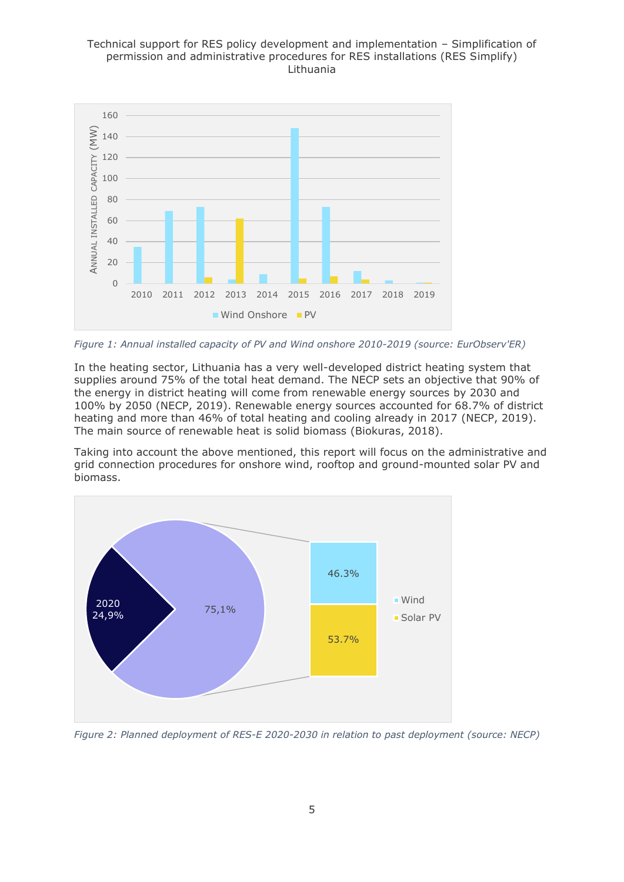

*Figure 1: Annual installed capacity of PV and Wind onshore 2010-2019 (source: EurObserv'ER)*

In the heating sector, Lithuania has a very well-developed district heating system that supplies around 75% of the total heat demand. The NECP sets an objective that 90% of the energy in district heating will come from renewable energy sources by 2030 and 100% by 2050 (NECP, 2019). Renewable energy sources accounted for 68.7% of district heating and more than 46% of total heating and cooling already in 2017 (NECP, 2019). The main source of renewable heat is solid biomass (Biokuras, 2018).

Taking into account the above mentioned, this report will focus on the administrative and grid connection procedures for onshore wind, rooftop and ground-mounted solar PV and biomass.



*Figure 2: Planned deployment of RES-E 2020-2030 in relation to past deployment (source: NECP)*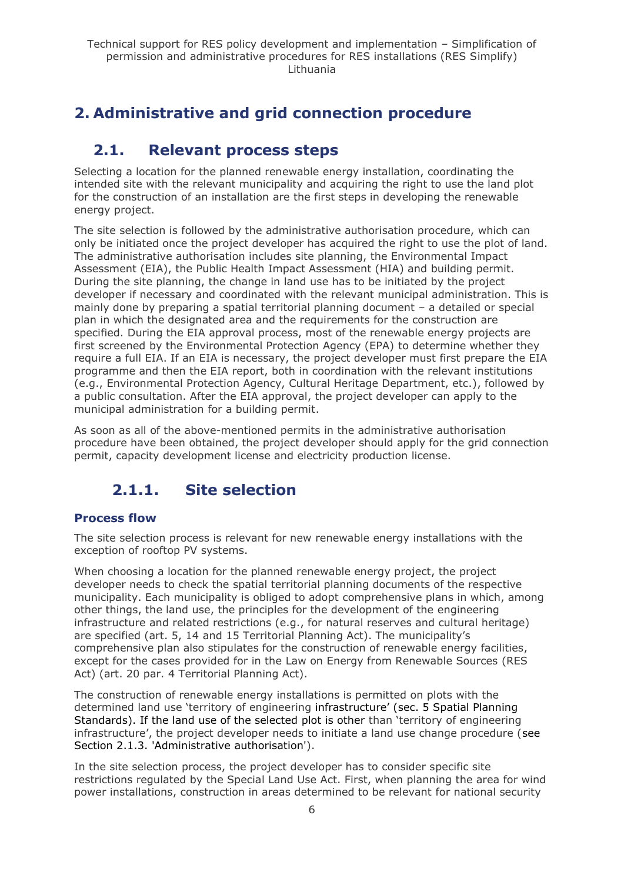## <span id="page-5-1"></span><span id="page-5-0"></span>**2. Administrative and grid connection procedure**

## **2.1. Relevant process steps**

Selecting a location for the planned renewable energy installation, coordinating the intended site with the relevant municipality and acquiring the right to use the land plot for the construction of an installation are the first steps in developing the renewable energy project.

The site selection is followed by the administrative authorisation procedure, which can only be initiated once the project developer has acquired the right to use the plot of land. The administrative authorisation includes site planning, the Environmental Impact Assessment (EIA), the Public Health Impact Assessment (HIA) and building permit. During the site planning, the change in land use has to be initiated by the project developer if necessary and coordinated with the relevant municipal administration. This is mainly done by preparing a spatial territorial planning document – a detailed or special plan in which the designated area and the requirements for the construction are specified. During the EIA approval process, most of the renewable energy projects are first screened by the Environmental Protection Agency (EPA) to determine whether they require a full EIA. If an EIA is necessary, the project developer must first prepare the EIA programme and then the EIA report, both in coordination with the relevant institutions (e.g., Environmental Protection Agency, Cultural Heritage Department, etc.), followed by a public consultation. After the EIA approval, the project developer can apply to the municipal administration for a building permit.

As soon as all of the above-mentioned permits in the administrative authorisation procedure have been obtained, the project developer should apply for the grid connection permit, capacity development license and electricity production license.

## **2.1.1. Site selection**

## <span id="page-5-2"></span>**Process flow**

The site selection process is relevant for new renewable energy installations with the exception of rooftop PV systems.

When choosing a location for the planned renewable energy project, the project developer needs to check the spatial territorial planning documents of the respective municipality. Each municipality is obliged to adopt comprehensive plans in which, among other things, the land use, the principles for the development of the engineering infrastructure and related restrictions (e.g., for natural reserves and cultural heritage) are specified (art. 5, 14 and 15 Territorial Planning Act). The municipality's comprehensive plan also stipulates for the construction of renewable energy facilities, except for the cases provided for in the Law on Energy from Renewable Sources (RES Act) (art. 20 par. 4 Territorial Planning Act).

The construction of renewable energy installations is permitted on plots with the determined land use 'territory of engineering infrastructure' (sec. 5 Spatial Planning Standards). If the land use of the selected plot is other than 'territory of engineering infrastructure', the project developer needs to initiate a land use change procedure (see Section 2.1.3. 'Administrative authorisation').

In the site selection process, the project developer has to consider specific site restrictions regulated by the Special Land Use Act. First, when planning the area for wind power installations, construction in areas determined to be relevant for national security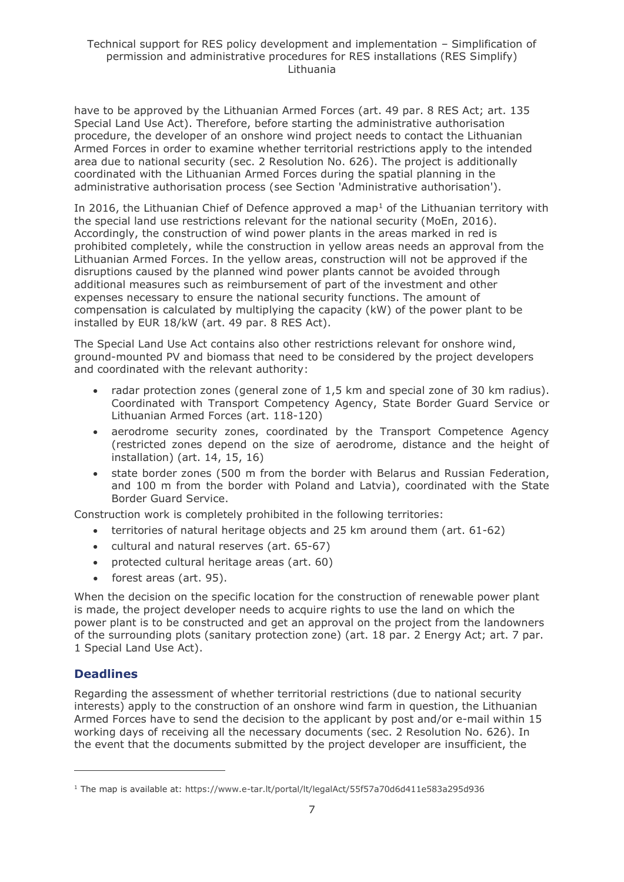have to be approved by the Lithuanian Armed Forces (art. 49 par. 8 RES Act; art. 135 Special Land Use Act). Therefore, before starting the administrative authorisation procedure, the developer of an onshore wind project needs to contact the Lithuanian Armed Forces in order to examine whether territorial restrictions apply to the intended area due to national security (sec. 2 Resolution No. 626). The project is additionally coordinated with the Lithuanian Armed Forces during the spatial planning in the administrative authorisation process (see Section 'Administrative authorisation').

In 2016, the Lithuanian Chief of Defence approved a map<sup>1</sup> of the Lithuanian territory with the special land use restrictions relevant for the national security (MoEn, 2016). Accordingly, the construction of wind power plants in the areas marked in red is prohibited completely, while the construction in yellow areas needs an approval from the Lithuanian Armed Forces. In the yellow areas, construction will not be approved if the disruptions caused by the planned wind power plants cannot be avoided through additional measures such as reimbursement of part of the investment and other expenses necessary to ensure the national security functions. The amount of compensation is calculated by multiplying the capacity (kW) of the power plant to be installed by EUR 18/kW (art. 49 par. 8 RES Act).

The Special Land Use Act contains also other restrictions relevant for onshore wind, ground-mounted PV and biomass that need to be considered by the project developers and coordinated with the relevant authority:

- radar protection zones (general zone of 1,5 km and special zone of 30 km radius). Coordinated with Transport Competency Agency, State Border Guard Service or Lithuanian Armed Forces (art. 118-120)
- aerodrome security zones, coordinated by the Transport Competence Agency (restricted zones depend on the size of aerodrome, distance and the height of installation) (art. 14, 15, 16)
- state border zones (500 m from the border with Belarus and Russian Federation, and 100 m from the border with Poland and Latvia), coordinated with the State Border Guard Service.

Construction work is completely prohibited in the following territories:

- territories of natural heritage objects and 25 km around them (art. 61-62)
- cultural and natural reserves (art. 65-67)
- protected cultural heritage areas (art. 60)
- forest areas (art. 95).

When the decision on the specific location for the construction of renewable power plant is made, the project developer needs to acquire rights to use the land on which the power plant is to be constructed and get an approval on the project from the landowners of the surrounding plots (sanitary protection zone) (art. 18 par. 2 Energy Act; art. 7 par. 1 Special Land Use Act).

## **Deadlines**

Regarding the assessment of whether territorial restrictions (due to national security interests) apply to the construction of an onshore wind farm in question, the Lithuanian Armed Forces have to send the decision to the applicant by post and/or e-mail within 15 working days of receiving all the necessary documents (sec. 2 Resolution No. 626). In the event that the documents submitted by the project developer are insufficient, the

<sup>1</sup> The map is available at: https://www.e-tar.lt/portal/lt/legalAct/55f57a70d6d411e583a295d936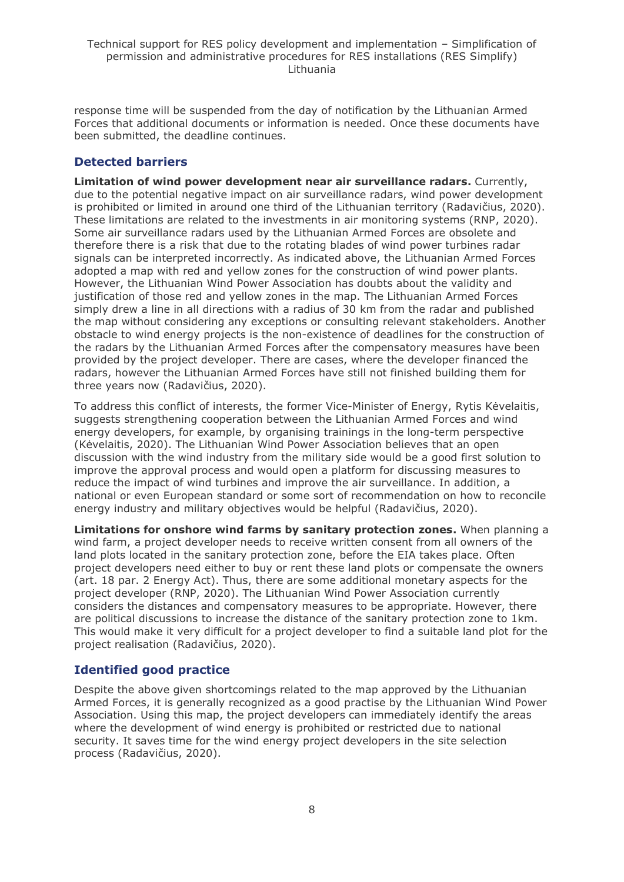response time will be suspended from the day of notification by the Lithuanian Armed Forces that additional documents or information is needed. Once these documents have been submitted, the deadline continues.

## **Detected barriers**

**Limitation of wind power development near air surveillance radars.** Currently, due to the potential negative impact on air surveillance radars, wind power development is prohibited or limited in around one third of the Lithuanian territory (Radavičius, 2020). These limitations are related to the investments in air monitoring systems (RNP, 2020). Some air surveillance radars used by the Lithuanian Armed Forces are obsolete and therefore there is a risk that due to the rotating blades of wind power turbines radar signals can be interpreted incorrectly. As indicated above, the Lithuanian Armed Forces adopted a map with red and yellow zones for the construction of wind power plants. However, the Lithuanian Wind Power Association has doubts about the validity and justification of those red and yellow zones in the map. The Lithuanian Armed Forces simply drew a line in all directions with a radius of 30 km from the radar and published the map without considering any exceptions or consulting relevant stakeholders. Another obstacle to wind energy projects is the non-existence of deadlines for the construction of the radars by the Lithuanian Armed Forces after the compensatory measures have been provided by the project developer. There are cases, where the developer financed the radars, however the Lithuanian Armed Forces have still not finished building them for three years now (Radavičius, 2020).

To address this conflict of interests, the former Vice-Minister of Energy, Rytis Kėvelaitis, suggests strengthening cooperation between the Lithuanian Armed Forces and wind energy developers, for example, by organising trainings in the long-term perspective (Kėvelaitis, 2020). The Lithuanian Wind Power Association believes that an open discussion with the wind industry from the military side would be a good first solution to improve the approval process and would open a platform for discussing measures to reduce the impact of wind turbines and improve the air surveillance. In addition, a national or even European standard or some sort of recommendation on how to reconcile energy industry and military objectives would be helpful (Radavičius, 2020).

**Limitations for onshore wind farms by sanitary protection zones.** When planning a wind farm, a project developer needs to receive written consent from all owners of the land plots located in the sanitary protection zone, before the EIA takes place. Often project developers need either to buy or rent these land plots or compensate the owners (art. 18 par. 2 Energy Act). Thus, there are some additional monetary aspects for the project developer (RNP, 2020). The Lithuanian Wind Power Association currently considers the distances and compensatory measures to be appropriate. However, there are political discussions to increase the distance of the sanitary protection zone to 1km. This would make it very difficult for a project developer to find a suitable land plot for the project realisation (Radavičius, 2020).

## **Identified good practice**

Despite the above given shortcomings related to the map approved by the Lithuanian Armed Forces, it is generally recognized as a good practise by the Lithuanian Wind Power Association. Using this map, the project developers can immediately identify the areas where the development of wind energy is prohibited or restricted due to national security. It saves time for the wind energy project developers in the site selection process (Radavičius, 2020).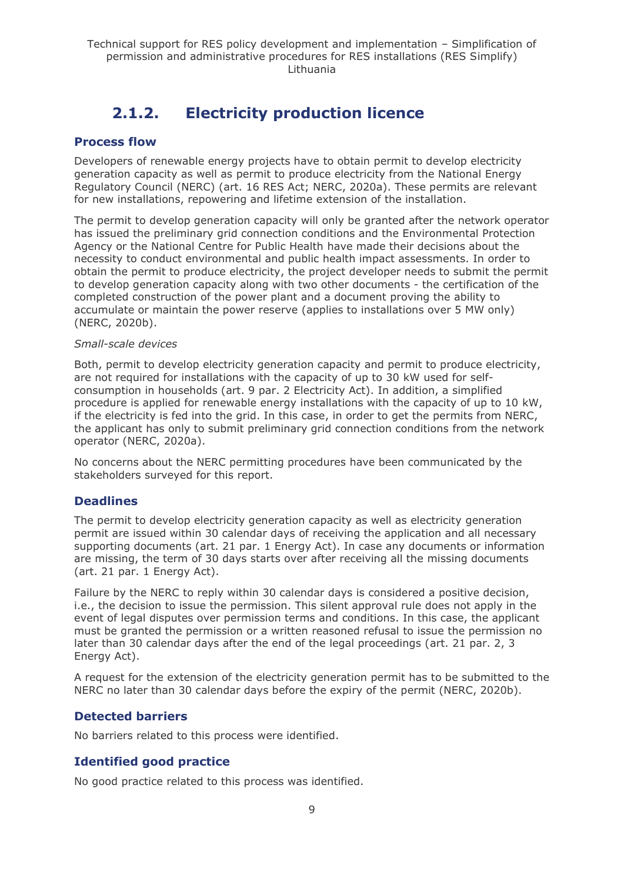## **2.1.2. Electricity production licence**

### <span id="page-8-0"></span>**Process flow**

Developers of renewable energy projects have to obtain permit to develop electricity generation capacity as well as permit to produce electricity from the National Energy Regulatory Council (NERC) (art. 16 RES Act; NERC, 2020a). These permits are relevant for new installations, repowering and lifetime extension of the installation.

The permit to develop generation capacity will only be granted after the network operator has issued the preliminary grid connection conditions and the Environmental Protection Agency or the National Centre for Public Health have made their decisions about the necessity to conduct environmental and public health impact assessments. In order to obtain the permit to produce electricity, the project developer needs to submit the permit to develop generation capacity along with two other documents - the certification of the completed construction of the power plant and a document proving the ability to accumulate or maintain the power reserve (applies to installations over 5 MW only) (NERC, 2020b).

#### *Small-scale devices*

Both, permit to develop electricity generation capacity and permit to produce electricity, are not required for installations with the capacity of up to 30 kW used for selfconsumption in households (art. 9 par. 2 Electricity Act). In addition, a simplified procedure is applied for renewable energy installations with the capacity of up to 10 kW, if the electricity is fed into the grid. In this case, in order to get the permits from NERC, the applicant has only to submit preliminary grid connection conditions from the network operator (NERC, 2020a).

No concerns about the NERC permitting procedures have been communicated by the stakeholders surveyed for this report.

## **Deadlines**

The permit to develop electricity generation capacity as well as electricity generation permit are issued within 30 calendar days of receiving the application and all necessary supporting documents (art. 21 par. 1 Energy Act). In case any documents or information are missing, the term of 30 days starts over after receiving all the missing documents (art. 21 par. 1 Energy Act).

Failure by the NERC to reply within 30 calendar days is considered a positive decision, i.e., the decision to issue the permission. This silent approval rule does not apply in the event of legal disputes over permission terms and conditions. In this case, the applicant must be granted the permission or a written reasoned refusal to issue the permission no later than 30 calendar days after the end of the legal proceedings (art. 21 par. 2, 3 Energy Act).

A request for the extension of the electricity generation permit has to be submitted to the NERC no later than 30 calendar days before the expiry of the permit (NERC, 2020b).

## **Detected barriers**

No barriers related to this process were identified.

## **Identified good practice**

No good practice related to this process was identified.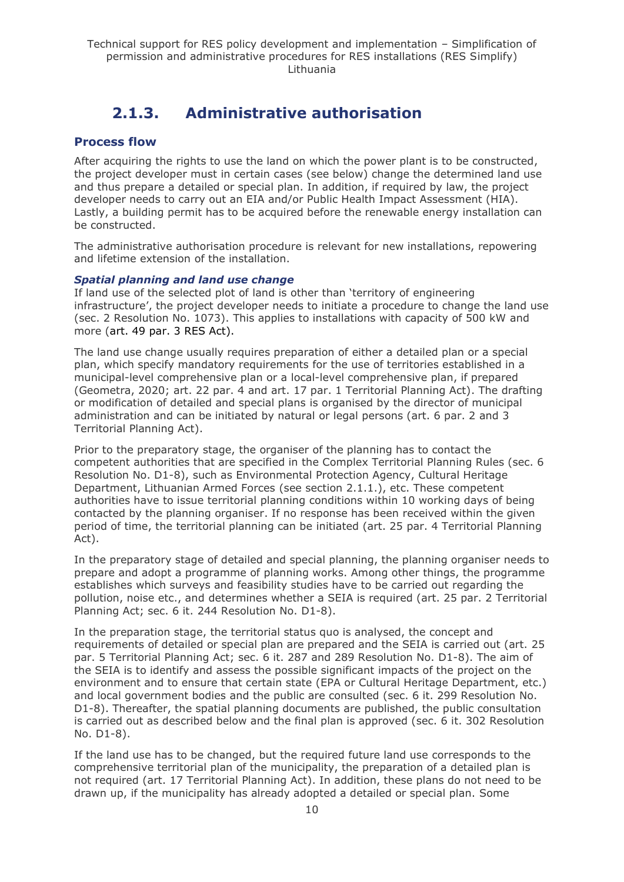## **2.1.3. Administrative authorisation**

### <span id="page-9-0"></span>**Process flow**

After acquiring the rights to use the land on which the power plant is to be constructed, the project developer must in certain cases (see below) change the determined land use and thus prepare a detailed or special plan. In addition, if required by law, the project developer needs to carry out an EIA and/or Public Health Impact Assessment (HIA). Lastly, a building permit has to be acquired before the renewable energy installation can be constructed.

The administrative authorisation procedure is relevant for new installations, repowering and lifetime extension of the installation.

#### *Spatial planning and land use change*

If land use of the selected plot of land is other than 'territory of engineering infrastructure', the project developer needs to initiate a procedure to change the land use (sec. 2 Resolution No. 1073). This applies to installations with capacity of 500 kW and more (art. 49 par. 3 RES Act).

The land use change usually requires preparation of either a detailed plan or a special plan, which specify mandatory requirements for the use of territories established in a municipal-level comprehensive plan or a local-level comprehensive plan, if prepared (Geometra, 2020; art. 22 par. 4 and art. 17 par. 1 Territorial Planning Act). The drafting or modification of detailed and special plans is organised by the director of municipal administration and can be initiated by natural or legal persons (art. 6 par. 2 and 3 Territorial Planning Act).

Prior to the preparatory stage, the organiser of the planning has to contact the competent authorities that are specified in the Complex Territorial Planning Rules (sec. 6 Resolution No. D1-8), such as Environmental Protection Agency, Cultural Heritage Department, Lithuanian Armed Forces (see section 2.1.1.), etc. These competent authorities have to issue territorial planning conditions within 10 working days of being contacted by the planning organiser. If no response has been received within the given period of time, the territorial planning can be initiated (art. 25 par. 4 Territorial Planning Act).

In the preparatory stage of detailed and special planning, the planning organiser needs to prepare and adopt a programme of planning works. Among other things, the programme establishes which surveys and feasibility studies have to be carried out regarding the pollution, noise etc., and determines whether a SEIA is required (art. 25 par. 2 Territorial Planning Act; sec. 6 it. 244 Resolution No. D1-8).

In the preparation stage, the territorial status quo is analysed, the concept and requirements of detailed or special plan are prepared and the SEIA is carried out (art. 25 par. 5 Territorial Planning Act; sec. 6 it. 287 and 289 Resolution No. D1-8). The aim of the SEIA is to identify and assess the possible significant impacts of the project on the environment and to ensure that certain state (EPA or Cultural Heritage Department, etc.) and local government bodies and the public are consulted (sec. 6 it. 299 Resolution No. D1-8). Thereafter, the spatial planning documents are published, the public consultation is carried out as described below and the final plan is approved (sec. 6 it. 302 Resolution No. D1-8).

If the land use has to be changed, but the required future land use corresponds to the comprehensive territorial plan of the municipality, the preparation of a detailed plan is not required (art. 17 Territorial Planning Act). In addition, these plans do not need to be drawn up, if the municipality has already adopted a detailed or special plan. Some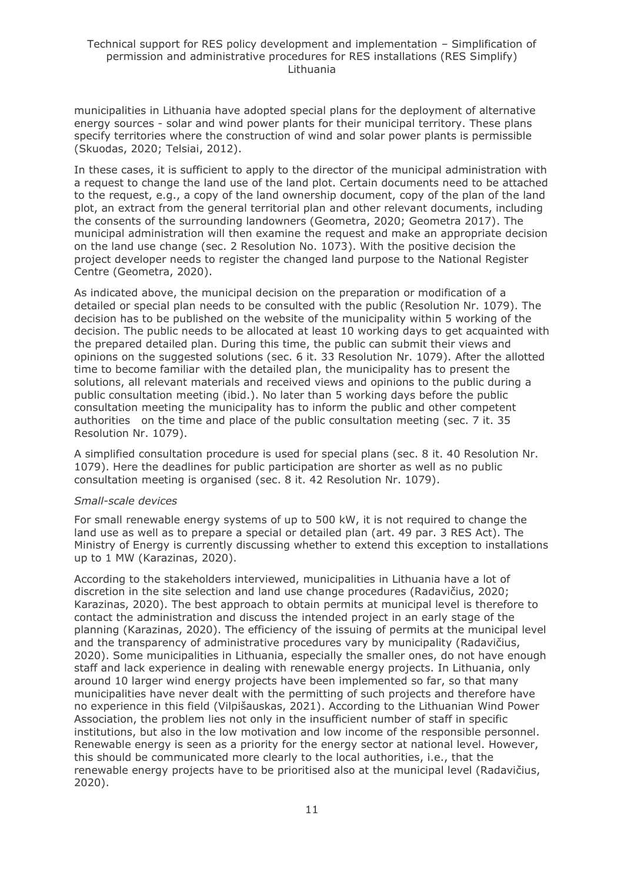municipalities in Lithuania have adopted special plans for the deployment of alternative energy sources - solar and wind power plants for their municipal territory. These plans specify territories where the construction of wind and solar power plants is permissible (Skuodas, 2020; Telsiai, 2012).

In these cases, it is sufficient to apply to the director of the municipal administration with a request to change the land use of the land plot. Certain documents need to be attached to the request, e.g., a copy of the land ownership document, copy of the plan of the land plot, an extract from the general territorial plan and other relevant documents, including the consents of the surrounding landowners (Geometra, 2020; Geometra 2017). The municipal administration will then examine the request and make an appropriate decision on the land use change (sec. 2 Resolution No. 1073). With the positive decision the project developer needs to register the changed land purpose to the National Register Centre (Geometra, 2020).

As indicated above, the municipal decision on the preparation or modification of a detailed or special plan needs to be consulted with the public (Resolution Nr. 1079). The decision has to be published on the website of the municipality within 5 working of the decision. The public needs to be allocated at least 10 working days to get acquainted with the prepared detailed plan. During this time, the public can submit their views and opinions on the suggested solutions (sec. 6 it. 33 Resolution Nr. 1079). After the allotted time to become familiar with the detailed plan, the municipality has to present the solutions, all relevant materials and received views and opinions to the public during a public consultation meeting (ibid.). No later than 5 working days before the public consultation meeting the municipality has to inform the public and other competent authorities on the time and place of the public consultation meeting (sec. 7 it. 35 Resolution Nr. 1079).

A simplified consultation procedure is used for special plans (sec. 8 it. 40 Resolution Nr. 1079). Here the deadlines for public participation are shorter as well as no public consultation meeting is organised (sec. 8 it. 42 Resolution Nr. 1079).

#### *Small-scale devices*

For small renewable energy systems of up to 500 kW, it is not required to change the land use as well as to prepare a special or detailed plan (art. 49 par. 3 RES Act). The Ministry of Energy is currently discussing whether to extend this exception to installations up to 1 MW (Karazinas, 2020).

According to the stakeholders interviewed, municipalities in Lithuania have a lot of discretion in the site selection and land use change procedures (Radavičius, 2020; Karazinas, 2020). The best approach to obtain permits at municipal level is therefore to contact the administration and discuss the intended project in an early stage of the planning (Karazinas, 2020). The efficiency of the issuing of permits at the municipal level and the transparency of administrative procedures vary by municipality (Radavičius, 2020). Some municipalities in Lithuania, especially the smaller ones, do not have enough staff and lack experience in dealing with renewable energy projects. In Lithuania, only around 10 larger wind energy projects have been implemented so far, so that many municipalities have never dealt with the permitting of such projects and therefore have no experience in this field (Vilpišauskas, 2021). According to the Lithuanian Wind Power Association, the problem lies not only in the insufficient number of staff in specific institutions, but also in the low motivation and low income of the responsible personnel. Renewable energy is seen as a priority for the energy sector at national level. However, this should be communicated more clearly to the local authorities, i.e., that the renewable energy projects have to be prioritised also at the municipal level (Radavičius, 2020).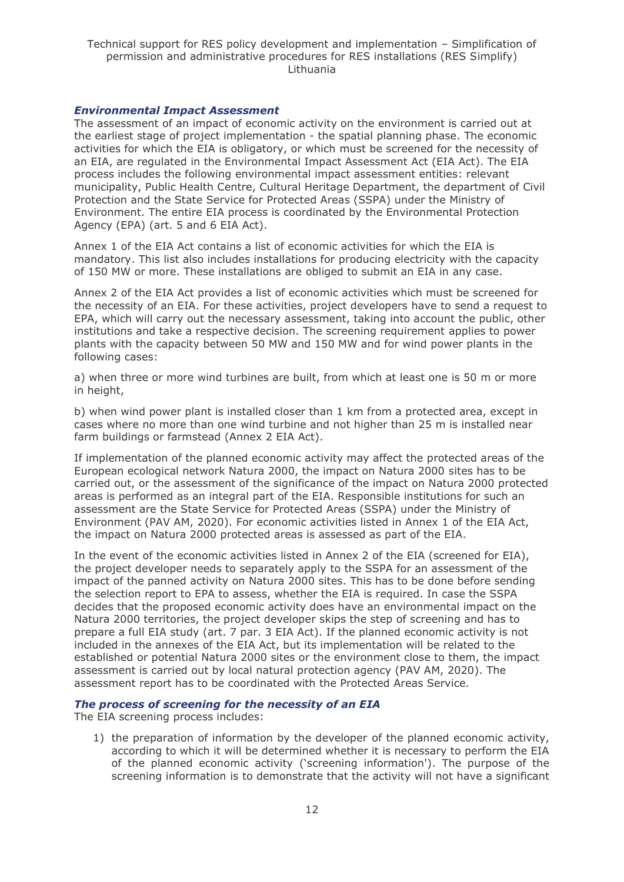#### *Environmental Impact Assessment*

The assessment of an impact of economic activity on the environment is carried out at the earliest stage of project implementation - the spatial planning phase. The economic activities for which the EIA is obligatory, or which must be screened for the necessity of an EIA, are regulated in the Environmental Impact Assessment Act (EIA Act). The EIA process includes the following environmental impact assessment entities: relevant municipality, Public Health Centre, Cultural Heritage Department, the department of Civil Protection and the State Service for Protected Areas (SSPA) under the Ministry of Environment. The entire EIA process is coordinated by the Environmental Protection Agency (EPA) (art. 5 and 6 EIA Act).

Annex 1 of the EIA Act contains a list of economic activities for which the EIA is mandatory. This list also includes installations for producing electricity with the capacity of 150 MW or more. These installations are obliged to submit an EIA in any case.

Annex 2 of the EIA Act provides a list of economic activities which must be screened for the necessity of an EIA. For these activities, project developers have to send a request to EPA, which will carry out the necessary assessment, taking into account the public, other institutions and take a respective decision. The screening requirement applies to power plants with the capacity between 50 MW and 150 MW and for wind power plants in the following cases:

a) when three or more wind turbines are built, from which at least one is 50 m or more in height,

b) when wind power plant is installed closer than 1 km from a protected area, except in cases where no more than one wind turbine and not higher than 25 m is installed near farm buildings or farmstead (Annex 2 EIA Act).

If implementation of the planned economic activity may affect the protected areas of the European ecological network Natura 2000, the impact on Natura 2000 sites has to be carried out, or the assessment of the significance of the impact on Natura 2000 protected areas is performed as an integral part of the EIA. Responsible institutions for such an assessment are the State Service for Protected Areas (SSPA) under the Ministry of Environment (PAV AM, 2020). For economic activities listed in Annex 1 of the EIA Act, the impact on Natura 2000 protected areas is assessed as part of the EIA.

In the event of the economic activities listed in Annex 2 of the EIA (screened for EIA), the project developer needs to separately apply to the SSPA for an assessment of the impact of the panned activity on Natura 2000 sites. This has to be done before sending the selection report to EPA to assess, whether the EIA is required. In case the SSPA decides that the proposed economic activity does have an environmental impact on the Natura 2000 territories, the project developer skips the step of screening and has to prepare a full EIA study (art. 7 par. 3 EIA Act). If the planned economic activity is not included in the annexes of the EIA Act, but its implementation will be related to the established or potential Natura 2000 sites or the environment close to them, the impact assessment is carried out by local natural protection agency (PAV AM, 2020). The assessment report has to be coordinated with the Protected Areas Service.

#### *The process of screening for the necessity of an EIA*

The EIA screening process includes:

1) the preparation of information by the developer of the planned economic activity, according to which it will be determined whether it is necessary to perform the EIA of the planned economic activity ('screening information'). The purpose of the screening information is to demonstrate that the activity will not have a significant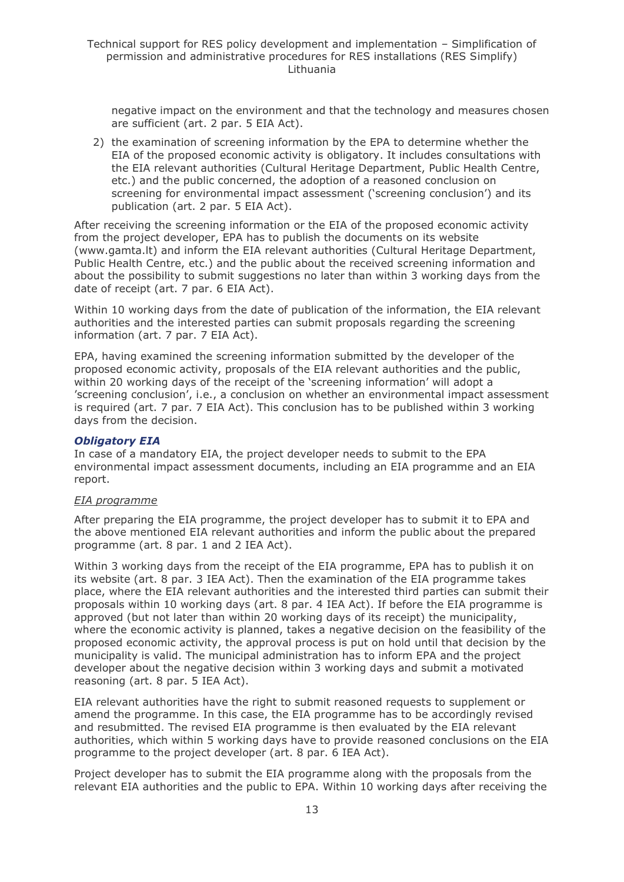negative impact on the environment and that the technology and measures chosen are sufficient (art. 2 par. 5 EIA Act).

2) the examination of screening information by the EPA to determine whether the EIA of the proposed economic activity is obligatory. It includes consultations with the EIA relevant authorities (Cultural Heritage Department, Public Health Centre, etc.) and the public concerned, the adoption of a reasoned conclusion on screening for environmental impact assessment ('screening conclusion') and its publication (art. 2 par. 5 EIA Act).

After receiving the screening information or the EIA of the proposed economic activity from the project developer, EPA has to publish the documents on its website (www.gamta.lt) and inform the EIA relevant authorities (Cultural Heritage Department, Public Health Centre, etc.) and the public about the received screening information and about the possibility to submit suggestions no later than within 3 working days from the date of receipt (art. 7 par. 6 EIA Act).

Within 10 working days from the date of publication of the information, the EIA relevant authorities and the interested parties can submit proposals regarding the screening information (art. 7 par. 7 EIA Act).

EPA, having examined the screening information submitted by the developer of the proposed economic activity, proposals of the EIA relevant authorities and the public, within 20 working days of the receipt of the 'screening information' will adopt a 'screening conclusion', i.e., a conclusion on whether an environmental impact assessment is required (art. 7 par. 7 EIA Act). This conclusion has to be published within 3 working days from the decision.

#### *Obligatory EIA*

In case of a mandatory EIA, the project developer needs to submit to the EPA environmental impact assessment documents, including an EIA programme and an EIA report.

#### *EIA programme*

After preparing the EIA programme, the project developer has to submit it to EPA and the above mentioned EIA relevant authorities and inform the public about the prepared programme (art. 8 par. 1 and 2 IEA Act).

Within 3 working days from the receipt of the EIA programme, EPA has to publish it on its website (art. 8 par. 3 IEA Act). Then the examination of the EIA programme takes place, where the EIA relevant authorities and the interested third parties can submit their proposals within 10 working days (art. 8 par. 4 IEA Act). If before the EIA programme is approved (but not later than within 20 working days of its receipt) the municipality, where the economic activity is planned, takes a negative decision on the feasibility of the proposed economic activity, the approval process is put on hold until that decision by the municipality is valid. The municipal administration has to inform EPA and the project developer about the negative decision within 3 working days and submit a motivated reasoning (art. 8 par. 5 IEA Act).

EIA relevant authorities have the right to submit reasoned requests to supplement or amend the programme. In this case, the EIA programme has to be accordingly revised and resubmitted. The revised EIA programme is then evaluated by the EIA relevant authorities, which within 5 working days have to provide reasoned conclusions on the EIA programme to the project developer (art. 8 par. 6 IEA Act).

Project developer has to submit the EIA programme along with the proposals from the relevant EIA authorities and the public to EPA. Within 10 working days after receiving the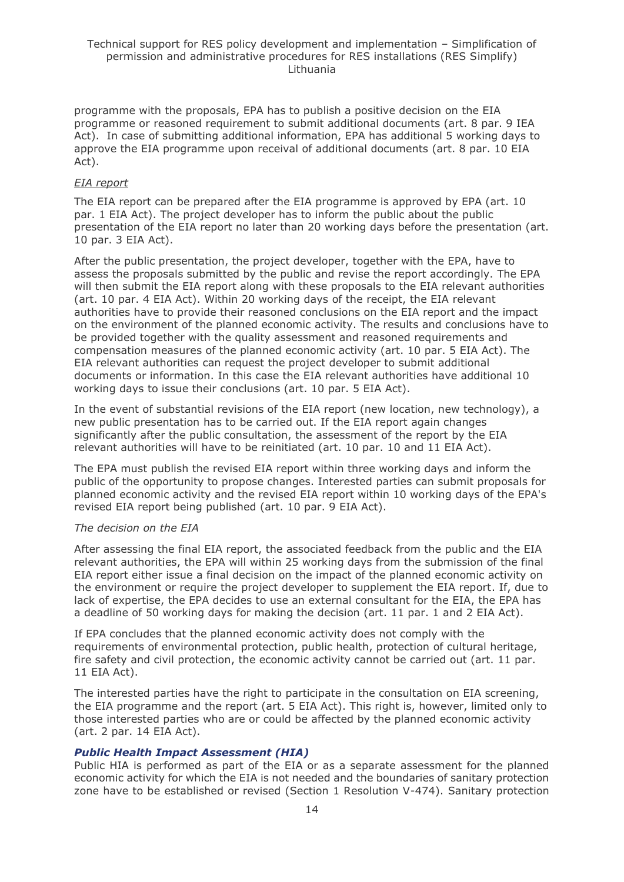programme with the proposals, EPA has to publish a positive decision on the EIA programme or reasoned requirement to submit additional documents (art. 8 par. 9 IEA Act). In case of submitting additional information, EPA has additional 5 working days to approve the EIA programme upon receival of additional documents (art. 8 par. 10 EIA Act).

### *EIA report*

The EIA report can be prepared after the EIA programme is approved by EPA (art. 10 par. 1 EIA Act). The project developer has to inform the public about the public presentation of the EIA report no later than 20 working days before the presentation (art. 10 par. 3 EIA Act).

After the public presentation, the project developer, together with the EPA, have to assess the proposals submitted by the public and revise the report accordingly. The EPA will then submit the EIA report along with these proposals to the EIA relevant authorities (art. 10 par. 4 EIA Act). Within 20 working days of the receipt, the EIA relevant authorities have to provide their reasoned conclusions on the EIA report and the impact on the environment of the planned economic activity. The results and conclusions have to be provided together with the quality assessment and reasoned requirements and compensation measures of the planned economic activity (art. 10 par. 5 EIA Act). The EIA relevant authorities can request the project developer to submit additional documents or information. In this case the EIA relevant authorities have additional 10 working days to issue their conclusions (art. 10 par. 5 EIA Act).

In the event of substantial revisions of the EIA report (new location, new technology), a new public presentation has to be carried out. If the EIA report again changes significantly after the public consultation, the assessment of the report by the EIA relevant authorities will have to be reinitiated (art. 10 par. 10 and 11 EIA Act).

The EPA must publish the revised EIA report within three working days and inform the public of the opportunity to propose changes. Interested parties can submit proposals for planned economic activity and the revised EIA report within 10 working days of the EPA's revised EIA report being published (art. 10 par. 9 EIA Act).

#### *The decision on the EIA*

After assessing the final EIA report, the associated feedback from the public and the EIA relevant authorities, the EPA will within 25 working days from the submission of the final EIA report either issue a final decision on the impact of the planned economic activity on the environment or require the project developer to supplement the EIA report. If, due to lack of expertise, the EPA decides to use an external consultant for the EIA, the EPA has a deadline of 50 working days for making the decision (art. 11 par. 1 and 2 EIA Act).

If EPA concludes that the planned economic activity does not comply with the requirements of environmental protection, public health, protection of cultural heritage, fire safety and civil protection, the economic activity cannot be carried out (art. 11 par. 11 EIA Act).

The interested parties have the right to participate in the consultation on EIA screening, the EIA programme and the report (art. 5 EIA Act). This right is, however, limited only to those interested parties who are or could be affected by the planned economic activity (art. 2 par. 14 EIA Act).

### *Public Health Impact Assessment (HIA)*

Public HIA is performed as part of the EIA or as a separate assessment for the planned economic activity for which the EIA is not needed and the boundaries of sanitary protection zone have to be established or revised (Section 1 Resolution V-474). Sanitary protection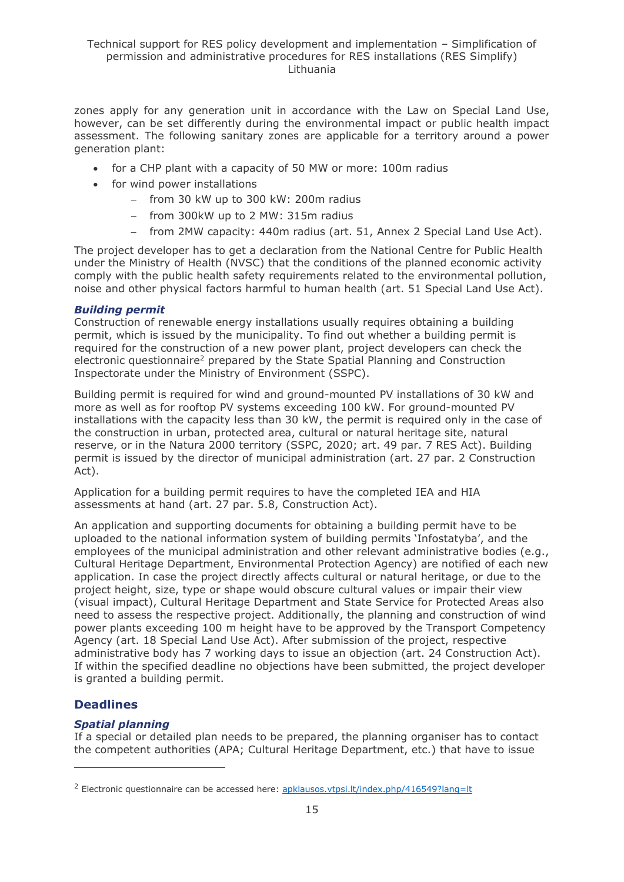zones apply for any generation unit in accordance with the Law on Special Land Use, however, can be set differently during the environmental impact or public health impact assessment. The following sanitary zones are applicable for a territory around a power generation plant:

- for a CHP plant with a capacity of 50 MW or more: 100m radius
- for wind power installations
	- − from 30 kW up to 300 kW: 200m radius
	- − from 300kW up to 2 MW: 315m radius
	- − from 2MW capacity: 440m radius (art. 51, Annex 2 Special Land Use Act).

The project developer has to get a declaration from the National Centre for Public Health under the Ministry of Health (NVSC) that the conditions of the planned economic activity comply with the public health safety requirements related to the environmental pollution, noise and other physical factors harmful to human health (art. 51 Special Land Use Act).

#### *Building permit*

Construction of renewable energy installations usually requires obtaining a building permit, which is issued by the municipality. To find out whether a building permit is required for the construction of a new power plant, project developers can check the electronic questionnaire<sup>2</sup> prepared by the State Spatial Planning and Construction Inspectorate under the Ministry of Environment (SSPC).

Building permit is required for wind and ground-mounted PV installations of 30 kW and more as well as for rooftop PV systems exceeding 100 kW. For ground-mounted PV installations with the capacity less than 30 kW, the permit is required only in the case of the construction in urban, protected area, cultural or natural heritage site, natural reserve, or in the Natura 2000 territory (SSPC, 2020; art. 49 par. 7 RES Act). Building permit is issued by the director of municipal administration (art. 27 par. 2 Construction Act).

Application for a building permit requires to have the completed IEA and HIA assessments at hand (art. 27 par. 5.8, Construction Act).

An application and supporting documents for obtaining a building permit have to be uploaded to the national information system of building permits 'Infostatyba', and the employees of the municipal administration and other relevant administrative bodies (e.g., Cultural Heritage Department, Environmental Protection Agency) are notified of each new application. In case the project directly affects cultural or natural heritage, or due to the project height, size, type or shape would obscure cultural values or impair their view (visual impact), Cultural Heritage Department and State Service for Protected Areas also need to assess the respective project. Additionally, the planning and construction of wind power plants exceeding 100 m height have to be approved by the Transport Competency Agency (art. 18 Special Land Use Act). After submission of the project, respective administrative body has 7 working days to issue an objection (art. 24 Construction Act). If within the specified deadline no objections have been submitted, the project developer is granted a building permit.

## **Deadlines**

### *Spatial planning*

If a special or detailed plan needs to be prepared, the planning organiser has to contact the competent authorities (APA; Cultural Heritage Department, etc.) that have to issue

<sup>&</sup>lt;sup>2</sup> Electronic questionnaire can be accessed here: [apklausos.vtpsi.lt/index.php/416549?lang=lt](http://apklausos.vtpsi.lt/index.php/416549?lang=lt)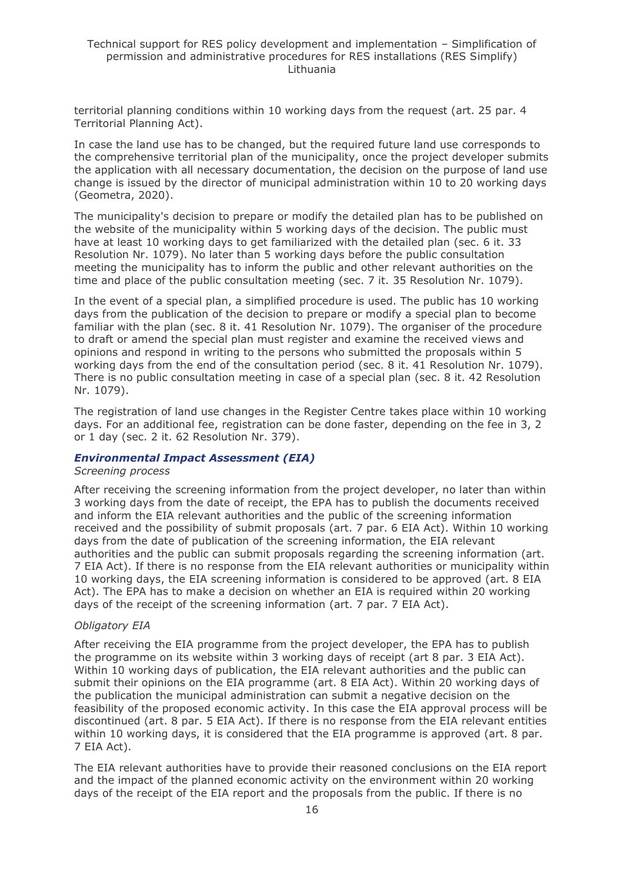territorial planning conditions within 10 working days from the request (art. 25 par. 4 Territorial Planning Act).

In case the land use has to be changed, but the required future land use corresponds to the comprehensive territorial plan of the municipality, once the project developer submits the application with all necessary documentation, the decision on the purpose of land use change is issued by the director of municipal administration within 10 to 20 working days (Geometra, 2020).

The municipality's decision to prepare or modify the detailed plan has to be published on the website of the municipality within 5 working days of the decision. The public must have at least 10 working days to get familiarized with the detailed plan (sec. 6 it. 33 Resolution Nr. 1079). No later than 5 working days before the public consultation meeting the municipality has to inform the public and other relevant authorities on the time and place of the public consultation meeting (sec. 7 it. 35 Resolution Nr. 1079).

In the event of a special plan, a simplified procedure is used. The public has 10 working days from the publication of the decision to prepare or modify a special plan to become familiar with the plan (sec. 8 it. 41 Resolution Nr. 1079). The organiser of the procedure to draft or amend the special plan must register and examine the received views and opinions and respond in writing to the persons who submitted the proposals within 5 working days from the end of the consultation period (sec. 8 it. 41 Resolution Nr. 1079). There is no public consultation meeting in case of a special plan (sec. 8 it. 42 Resolution Nr. 1079).

The registration of land use changes in the Register Centre takes place within 10 working days. For an additional fee, registration can be done faster, depending on the fee in 3, 2 or 1 day (sec. 2 it. 62 Resolution Nr. 379).

#### *Environmental Impact Assessment (EIA)*

#### *Screening process*

After receiving the screening information from the project developer, no later than within 3 working days from the date of receipt, the EPA has to publish the documents received and inform the EIA relevant authorities and the public of the screening information received and the possibility of submit proposals (art. 7 par. 6 EIA Act). Within 10 working days from the date of publication of the screening information, the EIA relevant authorities and the public can submit proposals regarding the screening information (art. 7 EIA Act). If there is no response from the EIA relevant authorities or municipality within 10 working days, the EIA screening information is considered to be approved (art. 8 EIA Act). The EPA has to make a decision on whether an EIA is required within 20 working days of the receipt of the screening information (art. 7 par. 7 EIA Act).

#### *Obligatory EIA*

After receiving the EIA programme from the project developer, the EPA has to publish the programme on its website within 3 working days of receipt (art 8 par. 3 EIA Act). Within 10 working days of publication, the EIA relevant authorities and the public can submit their opinions on the EIA programme (art. 8 EIA Act). Within 20 working days of the publication the municipal administration can submit a negative decision on the feasibility of the proposed economic activity. In this case the EIA approval process will be discontinued (art. 8 par. 5 EIA Act). If there is no response from the EIA relevant entities within 10 working days, it is considered that the EIA programme is approved (art. 8 par. 7 EIA Act).

The EIA relevant authorities have to provide their reasoned conclusions on the EIA report and the impact of the planned economic activity on the environment within 20 working days of the receipt of the EIA report and the proposals from the public. If there is no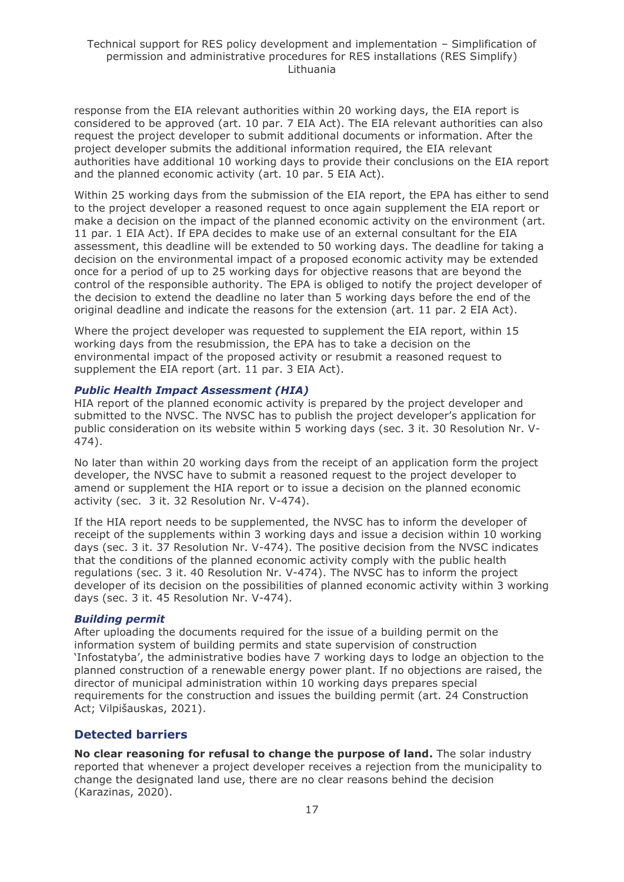response from the EIA relevant authorities within 20 working days, the EIA report is considered to be approved (art. 10 par. 7 EIA Act). The EIA relevant authorities can also request the project developer to submit additional documents or information. After the project developer submits the additional information required, the EIA relevant authorities have additional 10 working days to provide their conclusions on the EIA report and the planned economic activity (art. 10 par. 5 EIA Act).

Within 25 working days from the submission of the EIA report, the EPA has either to send to the project developer a reasoned request to once again supplement the EIA report or make a decision on the impact of the planned economic activity on the environment (art. 11 par. 1 EIA Act). If EPA decides to make use of an external consultant for the EIA assessment, this deadline will be extended to 50 working days. The deadline for taking a decision on the environmental impact of a proposed economic activity may be extended once for a period of up to 25 working days for objective reasons that are beyond the control of the responsible authority. The EPA is obliged to notify the project developer of the decision to extend the deadline no later than 5 working days before the end of the original deadline and indicate the reasons for the extension (art. 11 par. 2 EIA Act).

Where the project developer was requested to supplement the EIA report, within 15 working days from the resubmission, the EPA has to take a decision on the environmental impact of the proposed activity or resubmit a reasoned request to supplement the EIA report (art. 11 par. 3 EIA Act).

#### *Public Health Impact Assessment (HIA)*

HIA report of the planned economic activity is prepared by the project developer and submitted to the NVSC. The NVSC has to publish the project developer's application for public consideration on its website within 5 working days (sec. 3 it. 30 Resolution Nr. V-474).

No later than within 20 working days from the receipt of an application form the project developer, the NVSC have to submit a reasoned request to the project developer to amend or supplement the HIA report or to issue a decision on the planned economic activity (sec. 3 it. 32 Resolution Nr. V-474).

If the HIA report needs to be supplemented, the NVSC has to inform the developer of receipt of the supplements within 3 working days and issue a decision within 10 working days (sec. 3 it. 37 Resolution Nr. V-474). The positive decision from the NVSC indicates that the conditions of the planned economic activity comply with the public health regulations (sec. 3 it. 40 Resolution Nr. V-474). The NVSC has to inform the project developer of its decision on the possibilities of planned economic activity within 3 working days (sec. 3 it. 45 Resolution Nr. V-474).

#### *Building permit*

After uploading the documents required for the issue of a building permit on the information system of building permits and state supervision of construction 'Infostatyba', the administrative bodies have 7 working days to lodge an objection to the planned construction of a renewable energy power plant. If no objections are raised, the director of municipal administration within 10 working days prepares special requirements for the construction and issues the building permit (art. 24 Construction Act; Vilpišauskas, 2021).

### **Detected barriers**

**No clear reasoning for refusal to change the purpose of land.** The solar industry reported that whenever a project developer receives a rejection from the municipality to change the designated land use, there are no clear reasons behind the decision (Karazinas, 2020).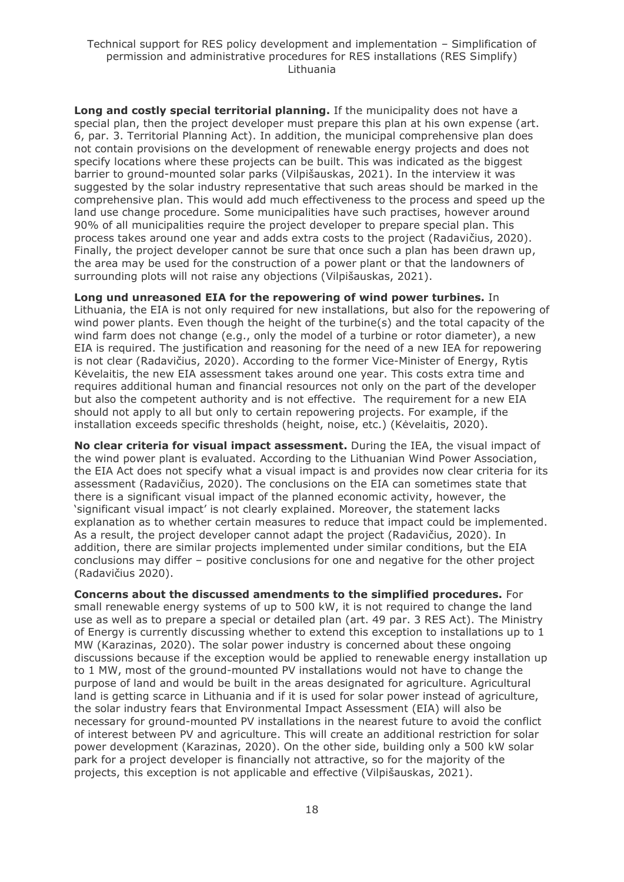**Long and costly special territorial planning.** If the municipality does not have a special plan, then the project developer must prepare this plan at his own expense (art. 6, par. 3. Territorial Planning Act). In addition, the municipal comprehensive plan does not contain provisions on the development of renewable energy projects and does not specify locations where these projects can be built. This was indicated as the biggest barrier to ground-mounted solar parks (Vilpišauskas, 2021). In the interview it was suggested by the solar industry representative that such areas should be marked in the comprehensive plan. This would add much effectiveness to the process and speed up the land use change procedure. Some municipalities have such practises, however around 90% of all municipalities require the project developer to prepare special plan. This process takes around one year and adds extra costs to the project (Radavičius, 2020). Finally, the project developer cannot be sure that once such a plan has been drawn up, the area may be used for the construction of a power plant or that the landowners of surrounding plots will not raise any objections (Vilpišauskas, 2021).

**Long und unreasoned EIA for the repowering of wind power turbines.** In Lithuania, the EIA is not only required for new installations, but also for the repowering of wind power plants. Even though the height of the turbine(s) and the total capacity of the wind farm does not change (e.g., only the model of a turbine or rotor diameter), a new EIA is required. The justification and reasoning for the need of a new IEA for repowering is not clear (Radavičius, 2020). According to the former Vice-Minister of Energy, Rytis Kėvelaitis, the new EIA assessment takes around one year. This costs extra time and requires additional human and financial resources not only on the part of the developer but also the competent authority and is not effective. The requirement for a new EIA should not apply to all but only to certain repowering projects. For example, if the installation exceeds specific thresholds (height, noise, etc.) (Kėvelaitis, 2020).

**No clear criteria for visual impact assessment.** During the IEA, the visual impact of the wind power plant is evaluated. According to the Lithuanian Wind Power Association, the EIA Act does not specify what a visual impact is and provides now clear criteria for its assessment (Radavičius, 2020). The conclusions on the EIA can sometimes state that there is a significant visual impact of the planned economic activity, however, the 'significant visual impact' is not clearly explained. Moreover, the statement lacks explanation as to whether certain measures to reduce that impact could be implemented. As a result, the project developer cannot adapt the project (Radavičius, 2020). In addition, there are similar projects implemented under similar conditions, but the EIA conclusions may differ – positive conclusions for one and negative for the other project (Radavičius 2020).

**Concerns about the discussed amendments to the simplified procedures.** For small renewable energy systems of up to 500 kW, it is not required to change the land use as well as to prepare a special or detailed plan (art. 49 par. 3 RES Act). The Ministry of Energy is currently discussing whether to extend this exception to installations up to 1 MW (Karazinas, 2020). The solar power industry is concerned about these ongoing discussions because if the exception would be applied to renewable energy installation up to 1 MW, most of the ground-mounted PV installations would not have to change the purpose of land and would be built in the areas designated for agriculture. Agricultural land is getting scarce in Lithuania and if it is used for solar power instead of agriculture, the solar industry fears that Environmental Impact Assessment (EIA) will also be necessary for ground-mounted PV installations in the nearest future to avoid the conflict of interest between PV and agriculture. This will create an additional restriction for solar power development (Karazinas, 2020). On the other side, building only a 500 kW solar park for a project developer is financially not attractive, so for the majority of the projects, this exception is not applicable and effective (Vilpišauskas, 2021).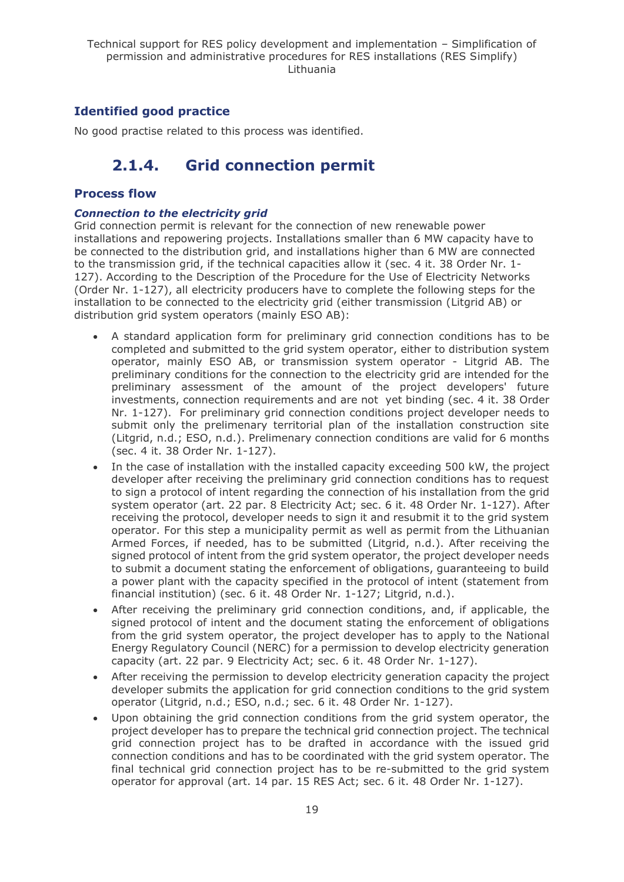## **Identified good practice**

<span id="page-18-0"></span>No good practise related to this process was identified.

## **2.1.4. Grid connection permit**

### **Process flow**

#### *Connection to the electricity grid*

Grid connection permit is relevant for the connection of new renewable power installations and repowering projects. Installations smaller than 6 MW capacity have to be connected to the distribution grid, and installations higher than 6 MW are connected to the transmission grid, if the technical capacities allow it (sec. 4 it. 38 Order Nr. 1- 127). According to the Description of the Procedure for the Use of Electricity Networks (Order Nr. 1-127), all electricity producers have to complete the following steps for the installation to be connected to the electricity grid (either transmission (Litgrid AB) or distribution grid system operators (mainly ESO AB):

- A standard application form for preliminary grid connection conditions has to be completed and submitted to the grid system operator, either to distribution system operator, mainly ESO AB, or transmission system operator - Litgrid AB. The preliminary conditions for the connection to the electricity grid are intended for the preliminary assessment of the amount of the project developers' future investments, connection requirements and are not yet binding (sec. 4 it. 38 Order Nr. 1-127). For preliminary grid connection conditions project developer needs to submit only the prelimenary territorial plan of the installation construction site (Litgrid, n.d.; ESO, n.d.). Prelimenary connection conditions are valid for 6 months (sec. 4 it. 38 Order Nr. 1-127).
- In the case of installation with the installed capacity exceeding 500 kW, the project developer after receiving the preliminary grid connection conditions has to request to sign a protocol of intent regarding the connection of his installation from the grid system operator (art. 22 par. 8 Electricity Act; sec. 6 it. 48 Order Nr. 1-127). After receiving the protocol, developer needs to sign it and resubmit it to the grid system operator. For this step a municipality permit as well as permit from the Lithuanian Armed Forces, if needed, has to be submitted (Litgrid, n.d.). After receiving the signed protocol of intent from the grid system operator, the project developer needs to submit a document stating the enforcement of obligations, guaranteeing to build a power plant with the capacity specified in the protocol of intent (statement from financial institution) (sec. 6 it. 48 Order Nr. 1-127; Litgrid, n.d.).
- After receiving the preliminary grid connection conditions, and, if applicable, the signed protocol of intent and the document stating the enforcement of obligations from the grid system operator, the project developer has to apply to the National Energy Regulatory Council (NERC) for a permission to develop electricity generation capacity (art. 22 par. 9 Electricity Act; sec. 6 it. 48 Order Nr. 1-127).
- After receiving the permission to develop electricity generation capacity the project developer submits the application for grid connection conditions to the grid system operator (Litgrid, n.d.; ESO, n.d.; sec. 6 it. 48 Order Nr. 1-127).
- Upon obtaining the grid connection conditions from the grid system operator, the project developer has to prepare the technical grid connection project. The technical grid connection project has to be drafted in accordance with the issued grid connection conditions and has to be coordinated with the grid system operator. The final technical grid connection project has to be re-submitted to the grid system operator for approval (art. 14 par. 15 RES Act; sec. 6 it. 48 Order Nr. 1-127).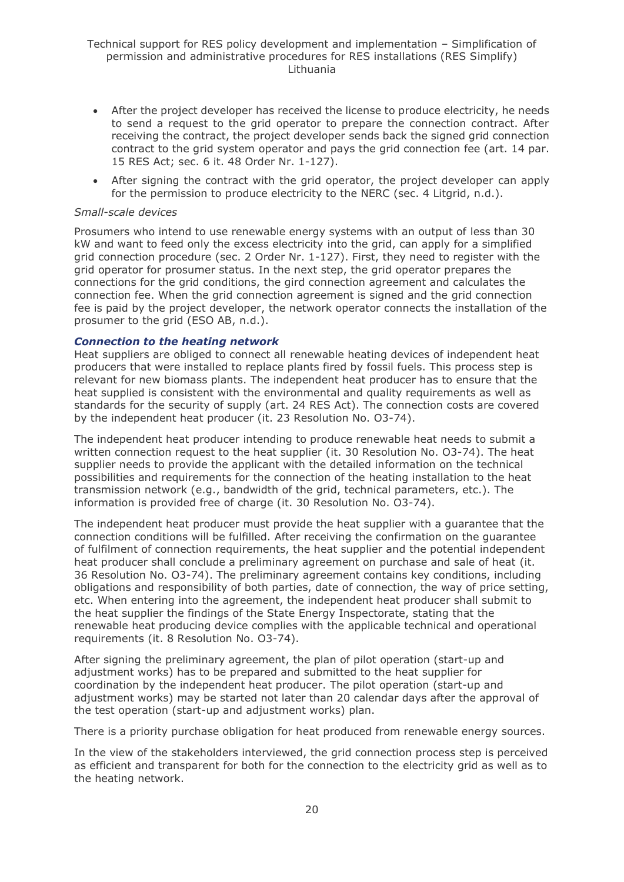- After the project developer has received the license to produce electricity, he needs to send a request to the grid operator to prepare the connection contract. After receiving the contract, the project developer sends back the signed grid connection contract to the grid system operator and pays the grid connection fee (art. 14 par. 15 RES Act; sec. 6 it. 48 Order Nr. 1-127).
- After signing the contract with the grid operator, the project developer can apply for the permission to produce electricity to the NERC (sec. 4 Litgrid, n.d.).

#### *Small-scale devices*

Prosumers who intend to use renewable energy systems with an output of less than 30 kW and want to feed only the excess electricity into the grid, can apply for a simplified grid connection procedure (sec. 2 Order Nr. 1-127). First, they need to register with the grid operator for prosumer status. In the next step, the grid operator prepares the connections for the grid conditions, the gird connection agreement and calculates the connection fee. When the grid connection agreement is signed and the grid connection fee is paid by the project developer, the network operator connects the installation of the prosumer to the grid (ESO AB, n.d.).

#### *Connection to the heating network*

Heat suppliers are obliged to connect all renewable heating devices of independent heat producers that were installed to replace plants fired by fossil fuels. This process step is relevant for new biomass plants. The independent heat producer has to ensure that the heat supplied is consistent with the environmental and quality requirements as well as standards for the security of supply (art. 24 RES Act). The connection costs are covered by the independent heat producer (it. 23 Resolution No. O3-74).

The independent heat producer intending to produce renewable heat needs to submit a written connection request to the heat supplier (it. 30 Resolution No. O3-74). The heat supplier needs to provide the applicant with the detailed information on the technical possibilities and requirements for the connection of the heating installation to the heat transmission network (e.g., bandwidth of the grid, technical parameters, etc.). The information is provided free of charge (it. 30 Resolution No. O3-74).

The independent heat producer must provide the heat supplier with a guarantee that the connection conditions will be fulfilled. After receiving the confirmation on the guarantee of fulfilment of connection requirements, the heat supplier and the potential independent heat producer shall conclude a preliminary agreement on purchase and sale of heat (it. 36 Resolution No. O3-74). The preliminary agreement contains key conditions, including obligations and responsibility of both parties, date of connection, the way of price setting, etc. When entering into the agreement, the independent heat producer shall submit to the heat supplier the findings of the State Energy Inspectorate, stating that the renewable heat producing device complies with the applicable technical and operational requirements (it. 8 Resolution No. O3-74).

After signing the preliminary agreement, the plan of pilot operation (start-up and adjustment works) has to be prepared and submitted to the heat supplier for coordination by the independent heat producer. The pilot operation (start-up and adjustment works) may be started not later than 20 calendar days after the approval of the test operation (start-up and adjustment works) plan.

There is a priority purchase obligation for heat produced from renewable energy sources.

In the view of the stakeholders interviewed, the grid connection process step is perceived as efficient and transparent for both for the connection to the electricity grid as well as to the heating network.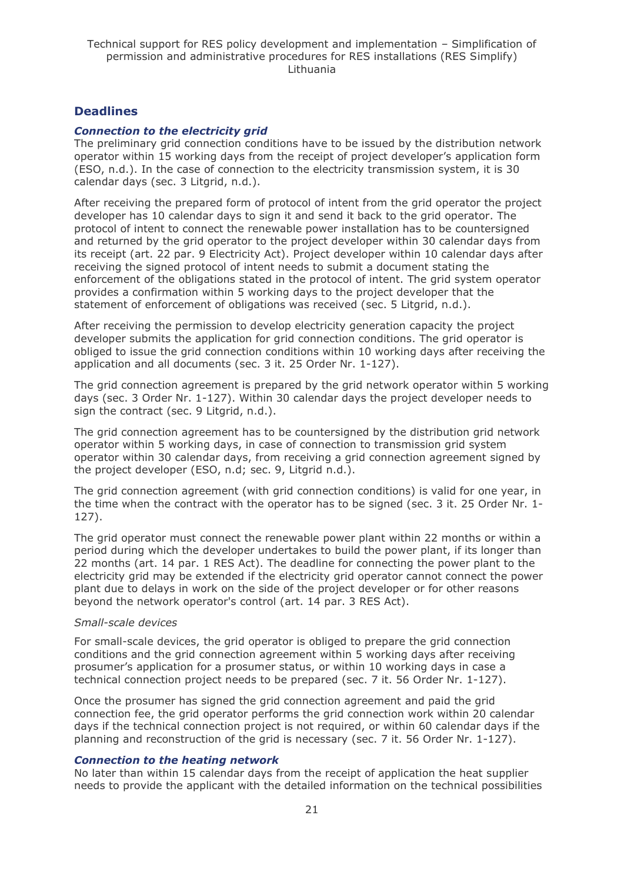### **Deadlines**

#### *Connection to the electricity grid*

The preliminary grid connection conditions have to be issued by the distribution network operator within 15 working days from the receipt of project developer's application form (ESO, n.d.). In the case of connection to the electricity transmission system, it is 30 calendar days (sec. 3 Litgrid, n.d.).

After receiving the prepared form of protocol of intent from the grid operator the project developer has 10 calendar days to sign it and send it back to the grid operator. The protocol of intent to connect the renewable power installation has to be countersigned and returned by the grid operator to the project developer within 30 calendar days from its receipt (art. 22 par. 9 Electricity Act). Project developer within 10 calendar days after receiving the signed protocol of intent needs to submit a document stating the enforcement of the obligations stated in the protocol of intent. The grid system operator provides a confirmation within 5 working days to the project developer that the statement of enforcement of obligations was received (sec. 5 Litgrid, n.d.).

After receiving the permission to develop electricity generation capacity the project developer submits the application for grid connection conditions. The grid operator is obliged to issue the grid connection conditions within 10 working days after receiving the application and all documents (sec. 3 it. 25 Order Nr. 1-127).

The grid connection agreement is prepared by the grid network operator within 5 working days (sec. 3 Order Nr. 1-127). Within 30 calendar days the project developer needs to sign the contract (sec. 9 Litgrid, n.d.).

The grid connection agreement has to be countersigned by the distribution grid network operator within 5 working days, in case of connection to transmission grid system operator within 30 calendar days, from receiving a grid connection agreement signed by the project developer (ESO, n.d; sec. 9, Litgrid n.d.).

The grid connection agreement (with grid connection conditions) is valid for one year, in the time when the contract with the operator has to be signed (sec. 3 it. 25 Order Nr. 1- 127).

The grid operator must connect the renewable power plant within 22 months or within a period during which the developer undertakes to build the power plant, if its longer than 22 months (art. 14 par. 1 RES Act). The deadline for connecting the power plant to the electricity grid may be extended if the electricity grid operator cannot connect the power plant due to delays in work on the side of the project developer or for other reasons beyond the network operator's control (art. 14 par. 3 RES Act).

#### *Small-scale devices*

For small-scale devices, the grid operator is obliged to prepare the grid connection conditions and the grid connection agreement within 5 working days after receiving prosumer's application for a prosumer status, or within 10 working days in case a technical connection project needs to be prepared (sec. 7 it. 56 Order Nr. 1-127).

Once the prosumer has signed the grid connection agreement and paid the grid connection fee, the grid operator performs the grid connection work within 20 calendar days if the technical connection project is not required, or within 60 calendar days if the planning and reconstruction of the grid is necessary (sec. 7 it. 56 Order Nr. 1-127).

#### *Connection to the heating network*

No later than within 15 calendar days from the receipt of application the heat supplier needs to provide the applicant with the detailed information on the technical possibilities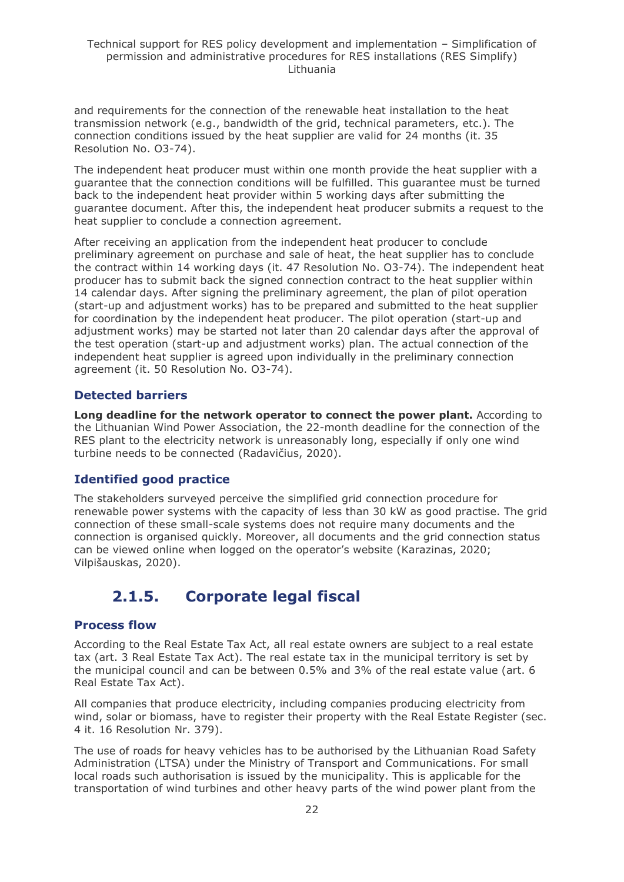and requirements for the connection of the renewable heat installation to the heat transmission network (e.g., bandwidth of the grid, technical parameters, etc.). The connection conditions issued by the heat supplier are valid for 24 months (it. 35 Resolution No. O3-74).

The independent heat producer must within one month provide the heat supplier with a guarantee that the connection conditions will be fulfilled. This guarantee must be turned back to the independent heat provider within 5 working days after submitting the guarantee document. After this, the independent heat producer submits a request to the heat supplier to conclude a connection agreement.

After receiving an application from the independent heat producer to conclude preliminary agreement on purchase and sale of heat, the heat supplier has to conclude the contract within 14 working days (it. 47 Resolution No. O3-74). The independent heat producer has to submit back the signed connection contract to the heat supplier within 14 calendar days. After signing the preliminary agreement, the plan of pilot operation (start-up and adjustment works) has to be prepared and submitted to the heat supplier for coordination by the independent heat producer. The pilot operation (start-up and adjustment works) may be started not later than 20 calendar days after the approval of the test operation (start-up and adjustment works) plan. The actual connection of the independent heat supplier is agreed upon individually in the preliminary connection agreement (it. 50 Resolution No. O3-74).

## **Detected barriers**

**Long deadline for the network operator to connect the power plant.** According to the Lithuanian Wind Power Association, the 22-month deadline for the connection of the RES plant to the electricity network is unreasonably long, especially if only one wind turbine needs to be connected (Radavičius, 2020).

## **Identified good practice**

The stakeholders surveyed perceive the simplified grid connection procedure for renewable power systems with the capacity of less than 30 kW as good practise. The grid connection of these small-scale systems does not require many documents and the connection is organised quickly. Moreover, all documents and the grid connection status can be viewed online when logged on the operator's website (Karazinas, 2020; Vilpišauskas, 2020).

## **2.1.5. Corporate legal fiscal**

### <span id="page-21-0"></span>**Process flow**

According to the Real Estate Tax Act, all real estate owners are subject to a real estate tax (art. 3 Real Estate Tax Act). The real estate tax in the municipal territory is set by the municipal council and can be between 0.5% and 3% of the real estate value (art. 6 Real Estate Tax Act).

All companies that produce electricity, including companies producing electricity from wind, solar or biomass, have to register their property with the Real Estate Register (sec. 4 it. 16 Resolution Nr. 379).

The use of roads for heavy vehicles has to be authorised by the Lithuanian Road Safety Administration (LTSA) under the Ministry of Transport and Communications. For small local roads such authorisation is issued by the municipality. This is applicable for the transportation of wind turbines and other heavy parts of the wind power plant from the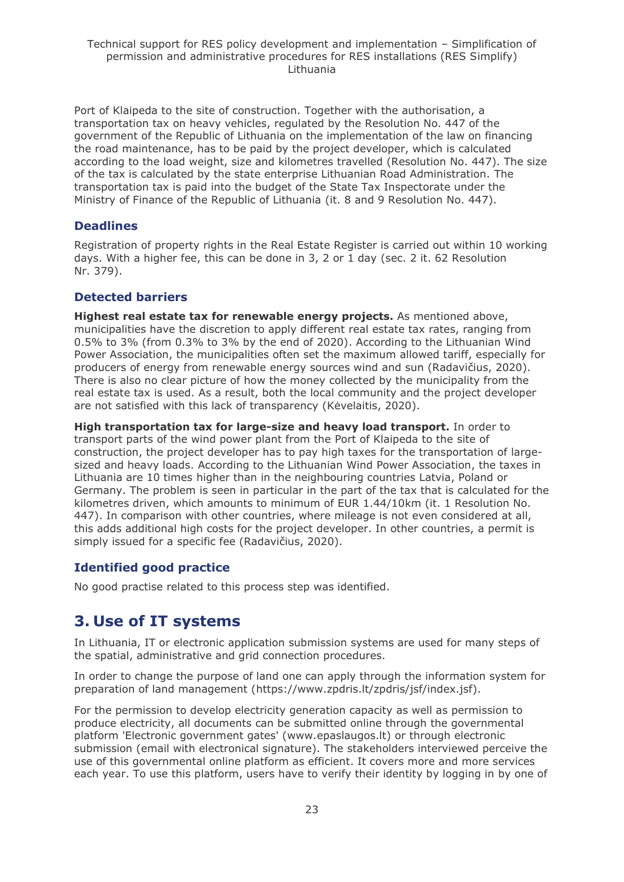Port of Klaipeda to the site of construction. Together with the authorisation, a transportation tax on heavy vehicles, regulated by the Resolution No. 447 of the government of the Republic of Lithuania on the implementation of the law on financing the road maintenance, has to be paid by the project developer, which is calculated according to the load weight, size and kilometres travelled (Resolution No. 447). The size of the tax is calculated by the state enterprise Lithuanian Road Administration. The transportation tax is paid into the budget of the State Tax Inspectorate under the Ministry of Finance of the Republic of Lithuania (it. 8 and 9 Resolution No. 447).

## **Deadlines**

Registration of property rights in the Real Estate Register is carried out within 10 working days. With a higher fee, this can be done in 3, 2 or 1 day (sec. 2 it. 62 Resolution Nr. 379).

### **Detected barriers**

**Highest real estate tax for renewable energy projects.** As mentioned above, municipalities have the discretion to apply different real estate tax rates, ranging from 0.5% to 3% (from 0.3% to 3% by the end of 2020). According to the Lithuanian Wind Power Association, the municipalities often set the maximum allowed tariff, especially for producers of energy from renewable energy sources wind and sun (Radavičius, 2020). There is also no clear picture of how the money collected by the municipality from the real estate tax is used. As a result, both the local community and the project developer are not satisfied with this lack of transparency (Kėvelaitis, 2020).

**High transportation tax for large-size and heavy load transport.** In order to transport parts of the wind power plant from the Port of Klaipeda to the site of construction, the project developer has to pay high taxes for the transportation of largesized and heavy loads. According to the Lithuanian Wind Power Association, the taxes in Lithuania are 10 times higher than in the neighbouring countries Latvia, Poland or Germany. The problem is seen in particular in the part of the tax that is calculated for the kilometres driven, which amounts to minimum of EUR 1.44/10km (it. 1 Resolution No. 447). In comparison with other countries, where mileage is not even considered at all, this adds additional high costs for the project developer. In other countries, a permit is simply issued for a specific fee (Radavičius, 2020).

## **Identified good practice**

No good practise related to this process step was identified.

## <span id="page-22-0"></span>**3. Use of IT systems**

In Lithuania, IT or electronic application submission systems are used for many steps of the spatial, administrative and grid connection procedures.

In order to change the purpose of land one can apply through the information system for preparation of land management (https://www.zpdris.lt/zpdris/jsf/index.jsf).

For the permission to develop electricity generation capacity as well as permission to produce electricity, all documents can be submitted online through the governmental platform 'Electronic government gates' [\(www.epaslaugos.lt\)](https://www.epaslaugos.lt/portal/service/28044/22422?searchId=22374925-2f23-491a-84d7-4079ed8ff981) or through electronic submission (email with electronical signature). The stakeholders interviewed perceive the use of this governmental online platform as efficient. It covers more and more services each year. To use this platform, users have to verify their identity by logging in by one of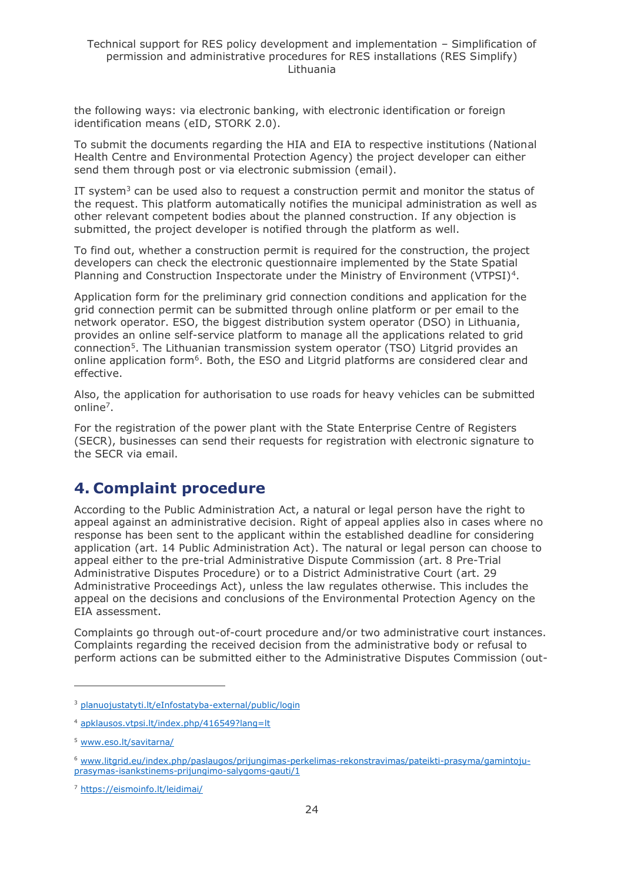the following ways: via electronic banking, with electronic identification or foreign identification means (eID, STORK 2.0).

To submit the documents regarding the HIA and EIA to respective institutions (National Health Centre and Environmental Protection Agency) the project developer can either send them through post or via electronic submission (email).

IT system<sup>3</sup> can be used also to request a construction permit and monitor the status of the request. This platform automatically notifies the municipal administration as well as other relevant competent bodies about the planned construction. If any objection is submitted, the project developer is notified through the platform as well.

To find out, whether a construction permit is required for the construction, the project developers can check the electronic questionnaire implemented by the State Spatial Planning and Construction Inspectorate under the Ministry of Environment (VTPSI)<sup>4</sup>.

Application form for the preliminary grid connection conditions and application for the grid connection permit can be submitted through online platform or per email to the network operator. ESO, the biggest distribution system operator (DSO) in Lithuania, provides an online self-service platform to manage all the applications related to grid connection<sup>5</sup>. The Lithuanian transmission system operator (TSO) Litgrid provides an online application form<sup>6</sup>. Both, the ESO and Litgrid platforms are considered clear and effective.

Also, the application for authorisation to use roads for heavy vehicles can be submitted online<sup>7</sup>.

For the registration of the power plant with the State Enterprise Centre of Registers (SECR), businesses can send their requests for registration with electronic signature to the SECR via email.

## <span id="page-23-0"></span>**4. Complaint procedure**

According to the Public Administration Act, a natural or legal person have the right to appeal against an administrative decision. Right of appeal applies also in cases where no response has been sent to the applicant within the established deadline for considering application (art. 14 Public Administration Act). The natural or legal person can choose to appeal either to the pre-trial Administrative Dispute Commission (art. 8 Pre-Trial Administrative Disputes Procedure) or to a District Administrative Court (art. 29 Administrative Proceedings Act), unless the law regulates otherwise. This includes the appeal on the decisions and conclusions of the Environmental Protection Agency on the EIA assessment.

Complaints go through out-of-court procedure and/or two administrative court instances. Complaints regarding the received decision from the administrative body or refusal to perform actions can be submitted either to the Administrative Disputes Commission (out-

<sup>3</sup> [planuojustatyti.lt/eInfostatyba-external/public/login](https://planuojustatyti.lt/eInfostatyba-external/public/login)

<sup>4</sup> [apklausos.vtpsi.lt/index.php/416549?lang=lt](http://apklausos.vtpsi.lt/index.php/416549?lang=lt)

<sup>5</sup> [www.eso.lt/savitarna/](http://www.eso.lt/savitarna/)

<sup>6</sup> [www.litgrid.eu/index.php/paslaugos/prijungimas-perkelimas-rekonstravimas/pateikti-prasyma/gamintoju](https://www.litgrid.eu/index.php/paslaugos/prijungimas-perkelimas-rekonstravimas/pateikti-prasyma/gamintoju-prasymas-isankstinems-prijungimo-salygoms-gauti/10001)[prasymas-isankstinems-prijungimo-salygoms-gauti/1](https://www.litgrid.eu/index.php/paslaugos/prijungimas-perkelimas-rekonstravimas/pateikti-prasyma/gamintoju-prasymas-isankstinems-prijungimo-salygoms-gauti/10001)

<sup>7</sup> <https://eismoinfo.lt/leidimai/>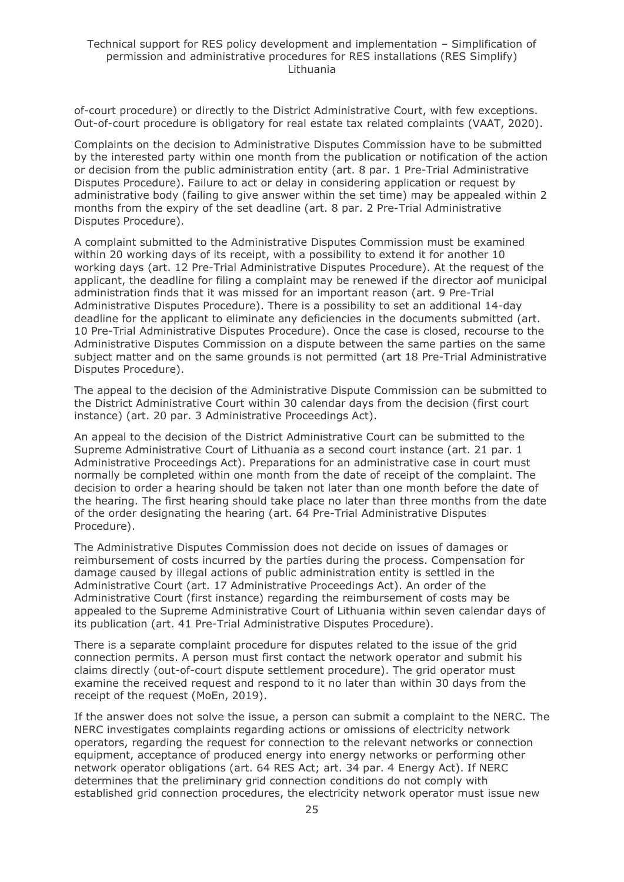of-court procedure) or directly to the District Administrative Court, with few exceptions. Out-of-court procedure is obligatory for real estate tax related complaints (VAAT, 2020).

Complaints on the decision to Administrative Disputes Commission have to be submitted by the interested party within one month from the publication or notification of the action or decision from the public administration entity (art. 8 par. 1 Pre-Trial Administrative Disputes Procedure). Failure to act or delay in considering application or request by administrative body (failing to give answer within the set time) may be appealed within 2 months from the expiry of the set deadline (art. 8 par. 2 Pre-Trial Administrative Disputes Procedure).

A complaint submitted to the Administrative Disputes Commission must be examined within 20 working days of its receipt, with a possibility to extend it for another 10 working days (art. 12 Pre-Trial Administrative Disputes Procedure). At the request of the applicant, the deadline for filing a complaint may be renewed if the director aof municipal administration finds that it was missed for an important reason (art. 9 Pre-Trial Administrative Disputes Procedure). There is a possibility to set an additional 14-day deadline for the applicant to eliminate any deficiencies in the documents submitted (art. 10 Pre-Trial Administrative Disputes Procedure). Once the case is closed, recourse to the Administrative Disputes Commission on a dispute between the same parties on the same subject matter and on the same grounds is not permitted (art 18 Pre-Trial Administrative Disputes Procedure).

The appeal to the decision of the Administrative Dispute Commission can be submitted to the District Administrative Court within 30 calendar days from the decision (first court instance) (art. 20 par. 3 Administrative Proceedings Act).

An appeal to the decision of the District Administrative Court can be submitted to the Supreme Administrative Court of Lithuania as a second court instance (art. 21 par. 1 Administrative Proceedings Act). Preparations for an administrative case in court must normally be completed within one month from the date of receipt of the complaint. The decision to order a hearing should be taken not later than one month before the date of the hearing. The first hearing should take place no later than three months from the date of the order designating the hearing (art. 64 Pre-Trial Administrative Disputes Procedure).

The Administrative Disputes Commission does not decide on issues of damages or reimbursement of costs incurred by the parties during the process. Compensation for damage caused by illegal actions of public administration entity is settled in the Administrative Court (art. 17 Administrative Proceedings Act). An order of the Administrative Court (first instance) regarding the reimbursement of costs may be appealed to the Supreme Administrative Court of Lithuania within seven calendar days of its publication (art. 41 Pre-Trial Administrative Disputes Procedure).

There is a separate complaint procedure for disputes related to the issue of the grid connection permits. A person must first contact the network operator and submit his claims directly (out-of-court dispute settlement procedure). The grid operator must examine the received request and respond to it no later than within 30 days from the receipt of the request (MoEn, 2019).

If the answer does not solve the issue, a person can submit a complaint to the NERC. The NERC investigates complaints regarding actions or omissions of electricity network operators, regarding the request for connection to the relevant networks or connection equipment, acceptance of produced energy into energy networks or performing other network operator obligations (art. 64 RES Act; art. 34 par. 4 Energy Act). If NERC determines that the preliminary grid connection conditions do not comply with established grid connection procedures, the electricity network operator must issue new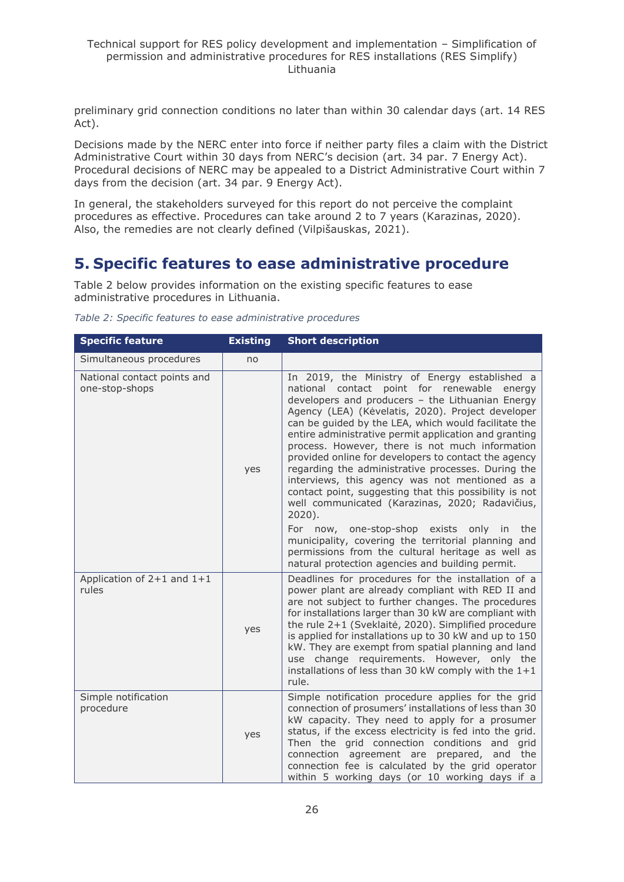preliminary grid connection conditions no later than within 30 calendar days (art. 14 RES Act).

Decisions made by the NERC enter into force if neither party files a claim with the District Administrative Court within 30 days from NERC's decision (art. 34 par. 7 Energy Act). Procedural decisions of NERC may be appealed to a District Administrative Court within 7 days from the decision (art. 34 par. 9 Energy Act).

In general, the stakeholders surveyed for this report do not perceive the complaint procedures as effective. Procedures can take around 2 to 7 years (Karazinas, 2020). Also, the remedies are not clearly defined (Vilpišauskas, 2021).

## <span id="page-25-0"></span>**5. Specific features to ease administrative procedure**

Table 2 below provides information on the existing specific features to ease administrative procedures in Lithuania.

| <b>Specific feature</b>                       | <b>Existing</b> | <b>Short description</b>                                                                                                                                                                                                                                                                                                                                                                                                                                                                                                                                                                                                                                            |
|-----------------------------------------------|-----------------|---------------------------------------------------------------------------------------------------------------------------------------------------------------------------------------------------------------------------------------------------------------------------------------------------------------------------------------------------------------------------------------------------------------------------------------------------------------------------------------------------------------------------------------------------------------------------------------------------------------------------------------------------------------------|
| Simultaneous procedures                       | no              |                                                                                                                                                                                                                                                                                                                                                                                                                                                                                                                                                                                                                                                                     |
| National contact points and<br>one-stop-shops | yes             | In 2019, the Ministry of Energy established a<br>national contact point for renewable energy<br>developers and producers - the Lithuanian Energy<br>Agency (LEA) (Kėvelatis, 2020). Project developer<br>can be guided by the LEA, which would facilitate the<br>entire administrative permit application and granting<br>process. However, there is not much information<br>provided online for developers to contact the agency<br>regarding the administrative processes. During the<br>interviews, this agency was not mentioned as a<br>contact point, suggesting that this possibility is not<br>well communicated (Karazinas, 2020; Radavičius,<br>$2020$ ). |
|                                               |                 | For now, one-stop-shop exists only<br>in<br>the<br>municipality, covering the territorial planning and<br>permissions from the cultural heritage as well as<br>natural protection agencies and building permit.                                                                                                                                                                                                                                                                                                                                                                                                                                                     |
| Application of $2+1$ and $1+1$<br>rules       | yes             | Deadlines for procedures for the installation of a<br>power plant are already compliant with RED II and<br>are not subject to further changes. The procedures<br>for installations larger than 30 kW are compliant with<br>the rule 2+1 (Sveklaitė, 2020). Simplified procedure<br>is applied for installations up to 30 kW and up to 150<br>kW. They are exempt from spatial planning and land<br>change requirements. However, only the<br>use<br>installations of less than 30 kW comply with the $1+1$<br>rule.                                                                                                                                                 |
| Simple notification<br>procedure              | yes             | Simple notification procedure applies for the grid<br>connection of prosumers' installations of less than 30<br>kW capacity. They need to apply for a prosumer<br>status, if the excess electricity is fed into the grid.<br>Then the grid connection conditions and grid<br>connection agreement are prepared, and the<br>connection fee is calculated by the grid operator<br>within 5 working days (or 10 working days if a                                                                                                                                                                                                                                      |

*Table 2: Specific features to ease administrative procedures*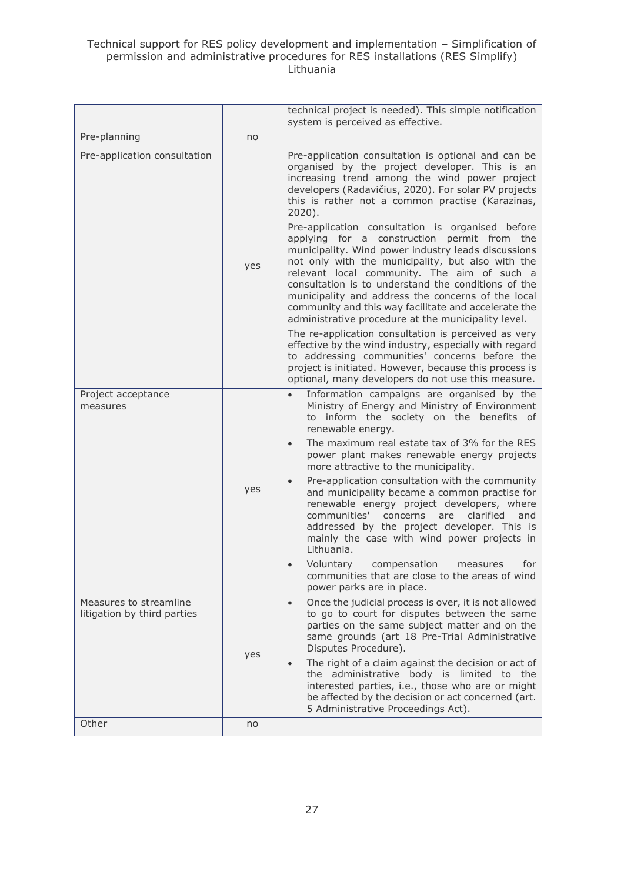|                                                              |     | technical project is needed). This simple notification<br>system is perceived as effective.                                                                                                                                                                                                                                                                                                                                        |
|--------------------------------------------------------------|-----|------------------------------------------------------------------------------------------------------------------------------------------------------------------------------------------------------------------------------------------------------------------------------------------------------------------------------------------------------------------------------------------------------------------------------------|
| Pre-planning                                                 | no  |                                                                                                                                                                                                                                                                                                                                                                                                                                    |
| Pre-application consultation                                 |     | Pre-application consultation is optional and can be<br>organised by the project developer. This is an<br>increasing trend among the wind power project<br>developers (Radavičius, 2020). For solar PV projects<br>this is rather not a common practise (Karazinas,<br>$2020$ ).<br>Pre-application consultation is organised before                                                                                                |
|                                                              | yes | applying for a construction permit from the<br>municipality. Wind power industry leads discussions<br>not only with the municipality, but also with the<br>relevant local community. The aim of such a<br>consultation is to understand the conditions of the<br>municipality and address the concerns of the local<br>community and this way facilitate and accelerate the<br>administrative procedure at the municipality level. |
|                                                              |     | The re-application consultation is perceived as very<br>effective by the wind industry, especially with regard<br>to addressing communities' concerns before the<br>project is initiated. However, because this process is<br>optional, many developers do not use this measure.                                                                                                                                                   |
| Project acceptance<br>measures                               |     | Information campaigns are organised by the<br>$\bullet$<br>Ministry of Energy and Ministry of Environment<br>to inform the society on the benefits of<br>renewable energy.                                                                                                                                                                                                                                                         |
|                                                              |     | The maximum real estate tax of 3% for the RES<br>$\bullet$<br>power plant makes renewable energy projects<br>more attractive to the municipality.                                                                                                                                                                                                                                                                                  |
|                                                              | yes | Pre-application consultation with the community<br>$\bullet$<br>and municipality became a common practise for<br>renewable energy project developers, where<br>communities'<br>clarified<br>concerns<br>are<br>and<br>addressed by the project developer. This is<br>mainly the case with wind power projects in<br>Lithuania.                                                                                                     |
|                                                              |     | Voluntary<br>compensation<br>for<br>measures<br>communities that are close to the areas of wind<br>power parks are in place.                                                                                                                                                                                                                                                                                                       |
| Measures to streamline<br>litigation by third parties<br>yes |     | Once the judicial process is over, it is not allowed<br>$\bullet$<br>to go to court for disputes between the same<br>parties on the same subject matter and on the<br>same grounds (art 18 Pre-Trial Administrative<br>Disputes Procedure).                                                                                                                                                                                        |
|                                                              |     | The right of a claim against the decision or act of<br>$\bullet$<br>the administrative body is limited to the<br>interested parties, i.e., those who are or might<br>be affected by the decision or act concerned (art.<br>5 Administrative Proceedings Act).                                                                                                                                                                      |
| Other                                                        | no  |                                                                                                                                                                                                                                                                                                                                                                                                                                    |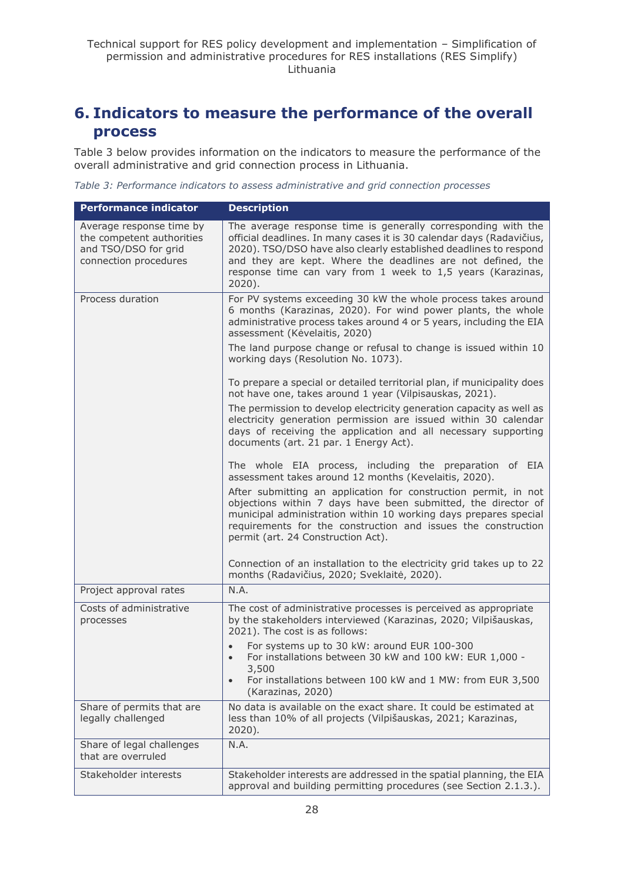## <span id="page-27-0"></span>**6. Indicators to measure the performance of the overall process**

Table 3 below provides information on the indicators to measure the performance of the overall administrative and grid connection process in Lithuania.

*Table 3: Performance indicators to assess administrative and grid connection processes*

| <b>Performance indicator</b>                                                                           | <b>Description</b>                                                                                                                                                                                                                                                                                                                                     |
|--------------------------------------------------------------------------------------------------------|--------------------------------------------------------------------------------------------------------------------------------------------------------------------------------------------------------------------------------------------------------------------------------------------------------------------------------------------------------|
| Average response time by<br>the competent authorities<br>and TSO/DSO for grid<br>connection procedures | The average response time is generally corresponding with the<br>official deadlines. In many cases it is 30 calendar days (Radavičius,<br>2020). TSO/DSO have also clearly established deadlines to respond<br>and they are kept. Where the deadlines are not defined, the<br>response time can vary from 1 week to 1,5 years (Karazinas,<br>$2020$ ). |
| Process duration                                                                                       | For PV systems exceeding 30 kW the whole process takes around<br>6 months (Karazinas, 2020). For wind power plants, the whole<br>administrative process takes around 4 or 5 years, including the EIA<br>assessment (Kėvelaitis, 2020)                                                                                                                  |
|                                                                                                        | The land purpose change or refusal to change is issued within 10<br>working days (Resolution No. 1073).                                                                                                                                                                                                                                                |
|                                                                                                        | To prepare a special or detailed territorial plan, if municipality does<br>not have one, takes around 1 year (Vilpisauskas, 2021).                                                                                                                                                                                                                     |
|                                                                                                        | The permission to develop electricity generation capacity as well as<br>electricity generation permission are issued within 30 calendar<br>days of receiving the application and all necessary supporting<br>documents (art. 21 par. 1 Energy Act).                                                                                                    |
|                                                                                                        | The whole EIA process, including the preparation of EIA<br>assessment takes around 12 months (Kevelaitis, 2020).                                                                                                                                                                                                                                       |
|                                                                                                        | After submitting an application for construction permit, in not<br>objections within 7 days have been submitted, the director of<br>municipal administration within 10 working days prepares special<br>requirements for the construction and issues the construction<br>permit (art. 24 Construction Act).                                            |
|                                                                                                        | Connection of an installation to the electricity grid takes up to 22<br>months (Radavičius, 2020; Sveklaitė, 2020).                                                                                                                                                                                                                                    |
| Project approval rates                                                                                 | N.A.                                                                                                                                                                                                                                                                                                                                                   |
| Costs of administrative<br>processes                                                                   | The cost of administrative processes is perceived as appropriate<br>by the stakeholders interviewed (Karazinas, 2020; Vilpišauskas,<br>2021). The cost is as follows:                                                                                                                                                                                  |
|                                                                                                        | For systems up to 30 kW: around EUR 100-300<br>For installations between 30 kW and 100 kW: EUR 1,000 -<br>$\bullet$<br>3,500<br>For installations between 100 kW and 1 MW: from EUR 3,500<br>$\bullet$                                                                                                                                                 |
|                                                                                                        | (Karazinas, 2020)                                                                                                                                                                                                                                                                                                                                      |
| Share of permits that are<br>legally challenged                                                        | No data is available on the exact share. It could be estimated at<br>less than 10% of all projects (Vilpišauskas, 2021; Karazinas,<br>2020).                                                                                                                                                                                                           |
| Share of legal challenges<br>that are overruled                                                        | N.A.                                                                                                                                                                                                                                                                                                                                                   |
| Stakeholder interests                                                                                  | Stakeholder interests are addressed in the spatial planning, the EIA<br>approval and building permitting procedures (see Section 2.1.3.).                                                                                                                                                                                                              |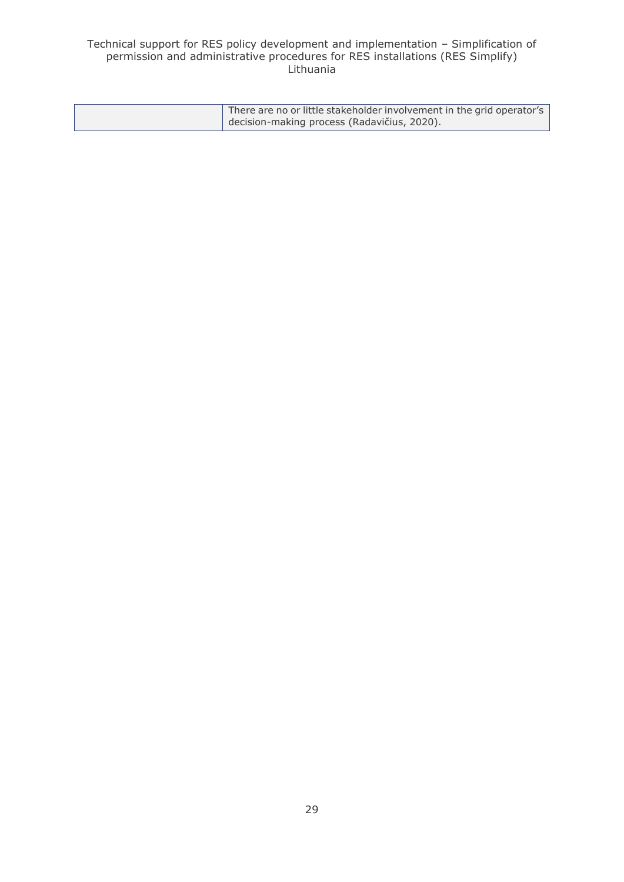| There are no or little stakeholder involvement in the grid operator's |
|-----------------------------------------------------------------------|
| decision-making process (Radavičius, 2020).                           |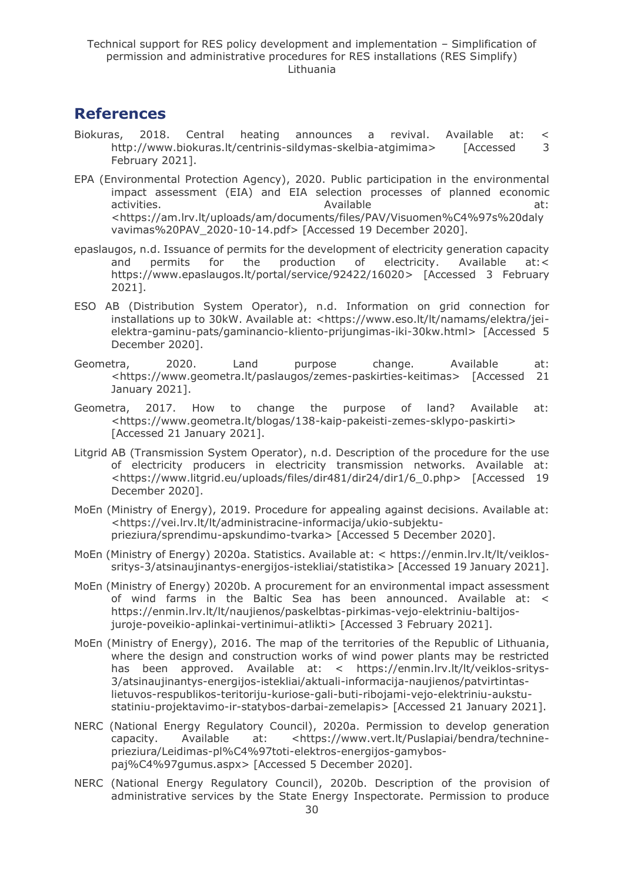## <span id="page-29-0"></span>**References**

- Biokuras, 2018. Central heating announces a revival. Available at: < http://www.biokuras.lt/centrinis-sildymas-skelbia-atgimima> [Accessed 3 February 2021].
- EPA (Environmental Protection Agency), 2020. Public participation in the environmental impact assessment (EIA) and EIA selection processes of planned economic activities. The activities of the attempt of the activities of the attempt of the attempt of the attempt of the attempt of the attempt of the attempt of the attempt of the attempt of the attempt of the attempt of the attem <https://am.lrv.lt/uploads/am/documents/files/PAV/Visuomen%C4%97s%20daly vavimas%20PAV\_2020-10-14.pdf> [Accessed 19 December 2020].
- epaslaugos, n.d. Issuance of permits for the development of electricity generation capacity and permits for the production of electricity. Available at:< https://www.epaslaugos.lt/portal/service/92422/16020> [Accessed 3 February 2021].
- ESO AB (Distribution System Operator), n.d. Information on grid connection for installations up to 30kW. Available at: <https://www.eso.lt/lt/namams/elektra/jeielektra-gaminu-pats/gaminancio-kliento-prijungimas-iki-30kw.html> [Accessed 5 December 2020].
- Geometra, 2020. Land purpose change. Available at: <https://www.geometra.lt/paslaugos/zemes-paskirties-keitimas> [Accessed 21 January 2021].
- Geometra, 2017. How to change the purpose of land? Available at: <https://www.geometra.lt/blogas/138-kaip-pakeisti-zemes-sklypo-paskirti> [Accessed 21 January 2021].
- Litgrid AB (Transmission System Operator), n.d. Description of the procedure for the use of electricity producers in electricity transmission networks. Available at: <https://www.litgrid.eu/uploads/files/dir481/dir24/dir1/6\_0.php> [Accessed 19 December 2020].
- MoEn (Ministry of Energy), 2019. Procedure for appealing against decisions. Available at: <https://vei.lrv.lt/lt/administracine-informacija/ukio-subjektuprieziura/sprendimu-apskundimo-tvarka> [Accessed 5 December 2020].
- MoEn (Ministry of Energy) 2020a. Statistics. Available at: < https://enmin.lrv.lt/lt/veiklossritys-3/atsinaujinantys-energijos-istekliai/statistika> [Accessed 19 January 2021].
- MoEn (Ministry of Energy) 2020b. A procurement for an environmental impact assessment of wind farms in the Baltic Sea has been announced. Available at: < https://enmin.lrv.lt/lt/naujienos/paskelbtas-pirkimas-vejo-elektriniu-baltijosjuroje-poveikio-aplinkai-vertinimui-atlikti> [Accessed 3 February 2021].
- MoEn (Ministry of Energy), 2016. The map of the territories of the Republic of Lithuania, where the design and construction works of wind power plants may be restricted has been approved. Available at: < https://enmin.lrv.lt/lt/veiklos-sritys-3/atsinaujinantys-energijos-istekliai/aktuali-informacija-naujienos/patvirtintaslietuvos-respublikos-teritoriju-kuriose-gali-buti-ribojami-vejo-elektriniu-aukstustatiniu-projektavimo-ir-statybos-darbai-zemelapis> [Accessed 21 January 2021].
- NERC (National Energy Regulatory Council), 2020a. Permission to develop generation capacity. Available at: <https://www.vert.lt/Puslapiai/bendra/technineprieziura/Leidimas-pl%C4%97toti-elektros-energijos-gamybospaj%C4%97gumus.aspx> [Accessed 5 December 2020].
- NERC (National Energy Regulatory Council), 2020b. Description of the provision of administrative services by the State Energy Inspectorate. Permission to produce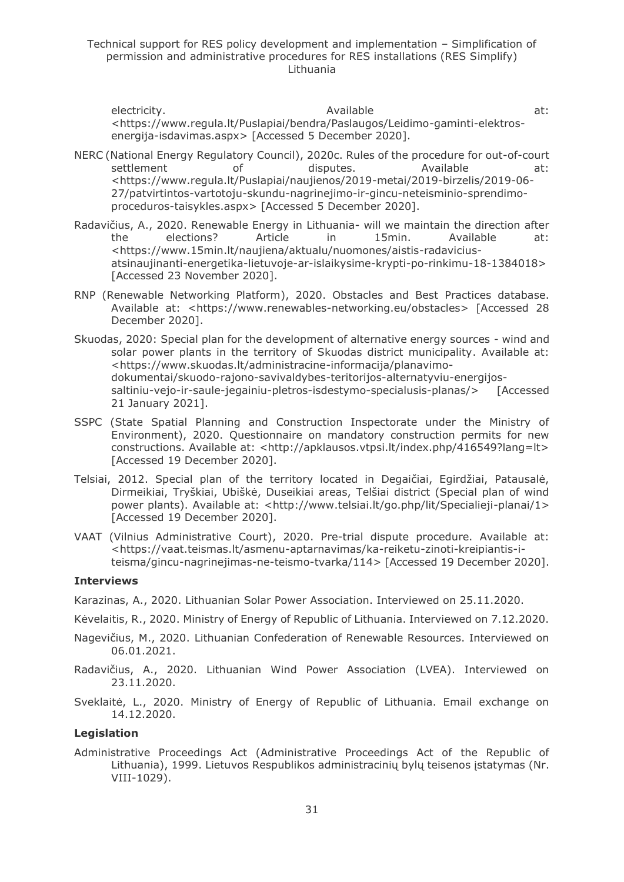electricity. The contract of the contract at: Available at: the contract of the contract at: <https://www.regula.lt/Puslapiai/bendra/Paslaugos/Leidimo-gaminti-elektrosenergija-isdavimas.aspx> [Accessed 5 December 2020].

- NERC (National Energy Regulatory Council), 2020c. Rules of the procedure for out-of-court settlement of disputes. Available at: <https://www.regula.lt/Puslapiai/naujienos/2019-metai/2019-birzelis/2019-06- 27/patvirtintos-vartotoju-skundu-nagrinejimo-ir-gincu-neteisminio-sprendimoproceduros-taisykles.aspx> [Accessed 5 December 2020].
- Radavičius, A., 2020. Renewable Energy in Lithuania- will we maintain the direction after the elections? Article in 15min. Available at: <https://www.15min.lt/naujiena/aktualu/nuomones/aistis-radaviciusatsinaujinanti-energetika-lietuvoje-ar-islaikysime-krypti-po-rinkimu-18-1384018> [Accessed 23 November 2020].
- RNP (Renewable Networking Platform), 2020. Obstacles and Best Practices database. Available at: <https://www.renewables-networking.eu/obstacles> [Accessed 28 December 2020].
- Skuodas, 2020: Special plan for the development of alternative energy sources wind and solar power plants in the territory of Skuodas district municipality. Available at: <https://www.skuodas.lt/administracine-informacija/planavimodokumentai/skuodo-rajono-savivaldybes-teritorijos-alternatyviu-energijossaltiniu-vejo-ir-saule-jegainiu-pletros-isdestymo-specialusis-planas/> [Accessed 21 January 2021].
- SSPC (State Spatial Planning and Construction Inspectorate under the Ministry of Environment), 2020. Questionnaire on mandatory construction permits for new constructions. Available at: <http://apklausos.vtpsi.lt/index.php/416549?lang=lt> [Accessed 19 December 2020].
- Telsiai, 2012. Special plan of the territory located in Degaičiai, Egirdžiai, Patausalė, Dirmeikiai, Tryškiai, Ubiškė, Duseikiai areas, Telšiai district (Special plan of wind power plants). Available at: <http://www.telsiai.lt/go.php/lit/Specialieji-planai/1> [Accessed 19 December 2020].
- VAAT (Vilnius Administrative Court), 2020. Pre-trial dispute procedure. Available at: <https://vaat.teismas.lt/asmenu-aptarnavimas/ka-reiketu-zinoti-kreipiantis-iteisma/gincu-nagrinejimas-ne-teismo-tvarka/114> [Accessed 19 December 2020].

#### **Interviews**

Karazinas, A., 2020. Lithuanian Solar Power Association. Interviewed on 25.11.2020.

- Kėvelaitis, R., 2020. Ministry of Energy of Republic of Lithuania. Interviewed on 7.12.2020.
- Nagevičius, M., 2020. Lithuanian Confederation of Renewable Resources. Interviewed on 06.01.2021.
- Radavičius, A., 2020. Lithuanian Wind Power Association (LVEA). Interviewed on 23.11.2020.
- Sveklaitė, L., 2020. Ministry of Energy of Republic of Lithuania. Email exchange on 14.12.2020.

#### **Legislation**

Administrative Proceedings Act (Administrative Proceedings Act of the Republic of Lithuania), 1999. Lietuvos Respublikos administracinių bylų teisenos įstatymas (Nr. VIII-1029).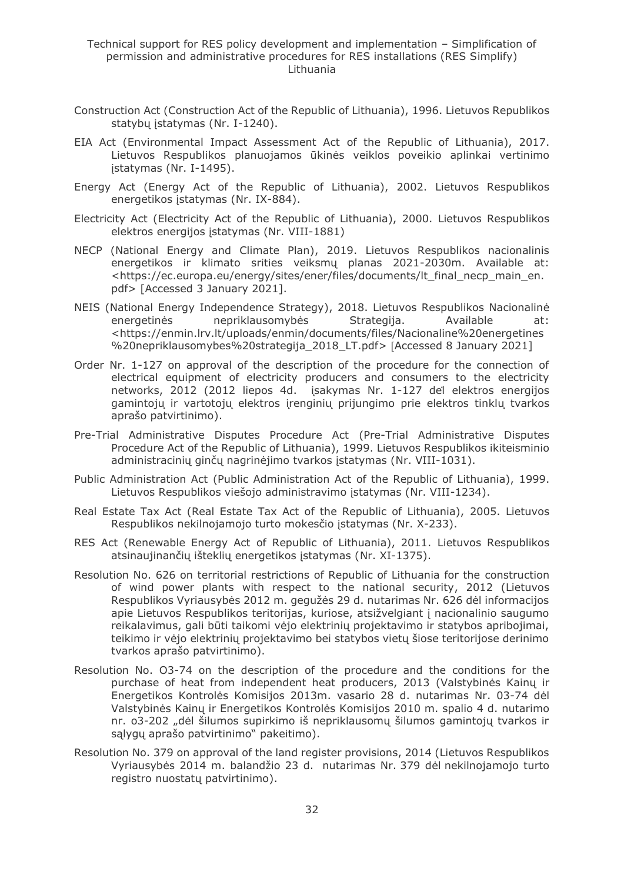- Construction Act (Construction Act of the Republic of Lithuania), 1996. Lietuvos Republikos statybų įstatymas (Nr. I-1240).
- EIA Act (Environmental Impact Assessment Act of the Republic of Lithuania), 2017. Lietuvos Respublikos planuojamos ūkinės veiklos poveikio aplinkai vertinimo įstatymas (Nr. I-1495).
- Energy Act (Energy Act of the Republic of Lithuania), 2002. Lietuvos Respublikos energetikos įstatymas (Nr. IX-884).
- Electricity Act (Electricity Act of the Republic of Lithuania), 2000. Lietuvos Respublikos elektros energijos įstatymas (Nr. VIII-1881)
- NECP (National Energy and Climate Plan), 2019. Lietuvos Respublikos nacionalinis energetikos ir klimato srities veiksmų planas 2021-2030m. Available at: <https://ec.europa.eu/energy/sites/ener/files/documents/lt\_final\_necp\_main\_en. pdf> [Accessed 3 January 2021].
- NEIS (National Energy Independence Strategy), 2018. Lietuvos Respublikos Nacionalinė energetinės nepriklausomybės Strategija. Available <https://enmin.lrv.lt/uploads/enmin/documents/files/Nacionaline%20energetines %20nepriklausomybes%20strategija\_2018\_LT.pdf> [Accessed 8 January 2021]
- Order Nr. 1-127 on approval of the description of the procedure for the connection of electrical equipment of electricity producers and consumers to the electricity networks, 2012 (2012 liepos 4d. isakymas Nr. 1-127 del elektros energijos gamintoju ir vartotoju elektros irenginiu prijungimo prie elektros tinklu tvarkos aprašo patvirtinimo).
- Pre-Trial Administrative Disputes Procedure Act (Pre-Trial Administrative Disputes Procedure Act of the Republic of Lithuania), 1999. Lietuvos Respublikos ikiteisminio administracinių ginčų nagrinėjimo tvarkos įstatymas (Nr. VIII-1031).
- Public Administration Act (Public Administration Act of the Republic of Lithuania), 1999. Lietuvos Respublikos viešojo administravimo įstatymas (Nr. VIII-1234).
- Real Estate Tax Act (Real Estate Tax Act of the Republic of Lithuania), 2005. Lietuvos Respublikos nekilnojamojo turto mokesčio įstatymas (Nr. X-233).
- RES Act (Renewable Energy Act of Republic of Lithuania), 2011. Lietuvos Respublikos atsinaujinančių išteklių energetikos įstatymas (Nr. XI-1375).
- Resolution No. 626 on territorial restrictions of Republic of Lithuania for the construction of wind power plants with respect to the national security, 2012 (Lietuvos Respublikos Vyriausybės 2012 m. gegužės 29 d. nutarimas Nr. 626 dėl informacijos apie Lietuvos Respublikos teritorijas, kuriose, atsižvelgiant į nacionalinio saugumo reikalavimus, gali būti taikomi vėjo elektrinių projektavimo ir statybos apribojimai, teikimo ir vėjo elektrinių projektavimo bei statybos vietų šiose teritorijose derinimo tvarkos aprašo patvirtinimo).
- Resolution No. O3-74 on the description of the procedure and the conditions for the purchase of heat from independent heat producers, 2013 (Valstybinės Kainų ir Energetikos Kontrolės Komisijos 2013m. vasario 28 d. nutarimas Nr. 03-74 dėl Valstybinės Kainų ir Energetikos Kontrolės Komisijos 2010 m. spalio 4 d. nutarimo nr. o3-202 "dėl šilumos supirkimo iš nepriklausomų šilumos gamintojų tvarkos ir sąlygų aprašo patvirtinimo" pakeitimo).
- Resolution No. 379 on approval of the land register provisions, 2014 (Lietuvos Respublikos Vyriausybės 2014 m. balandžio 23 d. nutarimas Nr. 379 dėl nekilnojamojo turto registro nuostatų patvirtinimo).